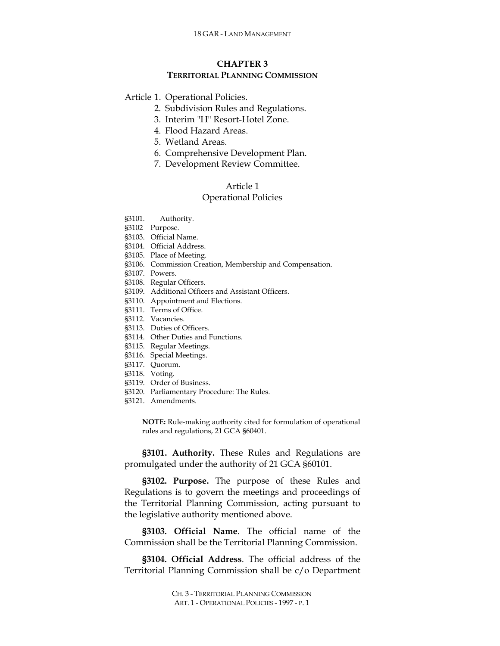# **CHAPTER 3 TERRITORIAL PLANNING COMMISSION**

### Article 1. Operational Policies.

- 2. Subdivision Rules and Regulations.
- 3. Interim "H" Resort-Hotel Zone.
- 4. Flood Hazard Areas.
- 5. Wetland Areas.
- 6. Comprehensive Development Plan.
- 7. Development Review Committee.

### Article 1

### Operational Policies

- §3101. Authority.
- §3102 Purpose.
- §3103. Official Name.
- §3104. Official Address.
- §3105. Place of Meeting.
- §3106. Commission Creation, Membership and Compensation.
- §3107. Powers.
- §3108. Regular Officers.
- §3109. Additional Officers and Assistant Officers.
- §3110. Appointment and Elections.
- §3111. Terms of Office.
- §3112. Vacancies.
- §3113. Duties of Officers.
- §3114. Other Duties and Functions.
- §3115. Regular Meetings.
- §3116. Special Meetings.
- §3117. Quorum.
- §3118. Voting.
- §3119. Order of Business.
- §3120. Parliamentary Procedure: The Rules.
- §3121. Amendments.

**NOTE:** Rule-making authority cited for formulation of operational rules and regulations, 21 GCA §60401.

**§3101. Authority.** These Rules and Regulations are promulgated under the authority of 21 GCA §60101.

**§3102. Purpose.** The purpose of these Rules and Regulations is to govern the meetings and proceedings of the Territorial Planning Commission, acting pursuant to the legislative authority mentioned above.

**§3103. Official Name**. The official name of the Commission shall be the Territorial Planning Commission.

**§3104. Official Address**. The official address of the Territorial Planning Commission shall be c/o Department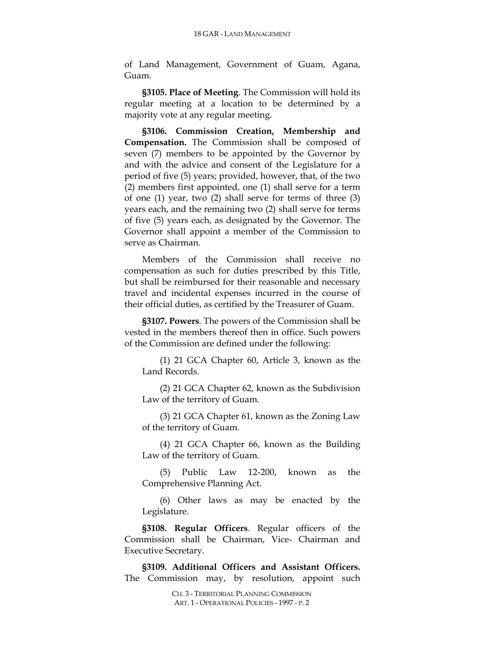of Land Management, Government of Guam, Agana, Guam.

**§3105. Place of Meeting**. The Commission will hold its regular meeting at a location to be determined by a majority vote at any regular meeting.

**§3106. Commission Creation, Membership and Compensation.** The Commission shall be composed of seven (7) members to be appointed by the Governor by and with the advice and consent of the Legislature for a period of five (5) years; provided, however, that, of the two (2) members first appointed, one (1) shall serve for a term of one (1) year, two (2) shall serve for terms of three (3) years each, and the remaining two (2) shall serve for terms of five (5) years each, as designated by the Governor. The Governor shall appoint a member of the Commission to serve as Chairman.

Members of the Commission shall receive no compensation as such for duties prescribed by this Title, but shall be reimbursed for their reasonable and necessary travel and incidental expenses incurred in the course of their official duties, as certified by the Treasurer of Guam.

**§3107. Powers**. The powers of the Commission shall be vested in the members thereof then in office. Such powers of the Commission are defined under the following:

(1) 21 GCA Chapter 60, Article 3, known as the Land Records.

(2) 21 GCA Chapter 62, known as the Subdivision Law of the territory of Guam.

(3) 21 GCA Chapter 61, known as the Zoning Law of the territory of Guam.

(4) 21 GCA Chapter 66, known as the Building Law of the territory of Guam.

(5) Public Law 12-200, known as the Comprehensive Planning Act.

(6) Other laws as may be enacted by the Legislature.

**§3108. Regular Officers**. Regular officers of the Commission shall be Chairman, Vice- Chairman and Executive Secretary.

**§3109. Additional Officers and Assistant Officers.** The Commission may, by resolution, appoint such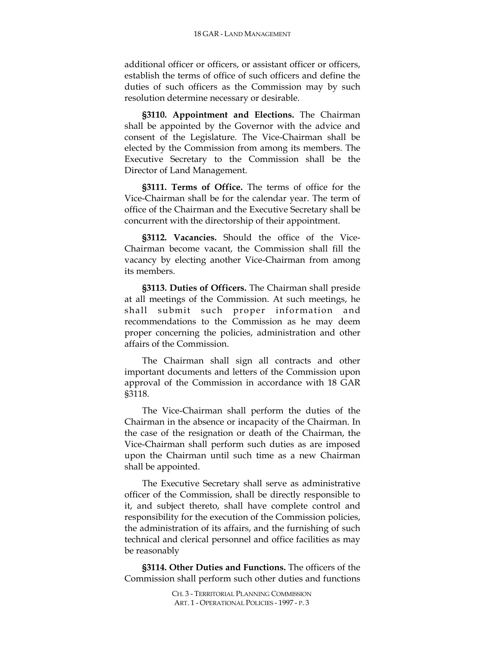additional officer or officers, or assistant officer or officers, establish the terms of office of such officers and define the duties of such officers as the Commission may by such resolution determine necessary or desirable.

**§3110. Appointment and Elections.** The Chairman shall be appointed by the Governor with the advice and consent of the Legislature. The Vice-Chairman shall be elected by the Commission from among its members. The Executive Secretary to the Commission shall be the Director of Land Management.

**§3111. Terms of Office.** The terms of office for the Vice-Chairman shall be for the calendar year. The term of office of the Chairman and the Executive Secretary shall be concurrent with the directorship of their appointment.

**§3112. Vacancies.** Should the office of the Vice-Chairman become vacant, the Commission shall fill the vacancy by electing another Vice-Chairman from among its members.

**§3113. Duties of Officers.** The Chairman shall preside at all meetings of the Commission. At such meetings, he shall submit such proper information and recommendations to the Commission as he may deem proper concerning the policies, administration and other affairs of the Commission.

The Chairman shall sign all contracts and other important documents and letters of the Commission upon approval of the Commission in accordance with 18 GAR §3118.

The Vice-Chairman shall perform the duties of the Chairman in the absence or incapacity of the Chairman. In the case of the resignation or death of the Chairman, the Vice-Chairman shall perform such duties as are imposed upon the Chairman until such time as a new Chairman shall be appointed.

The Executive Secretary shall serve as administrative officer of the Commission, shall be directly responsible to it, and subject thereto, shall have complete control and responsibility for the execution of the Commission policies, the administration of its affairs, and the furnishing of such technical and clerical personnel and office facilities as may be reasonably

**§3114. Other Duties and Functions.** The officers of the Commission shall perform such other duties and functions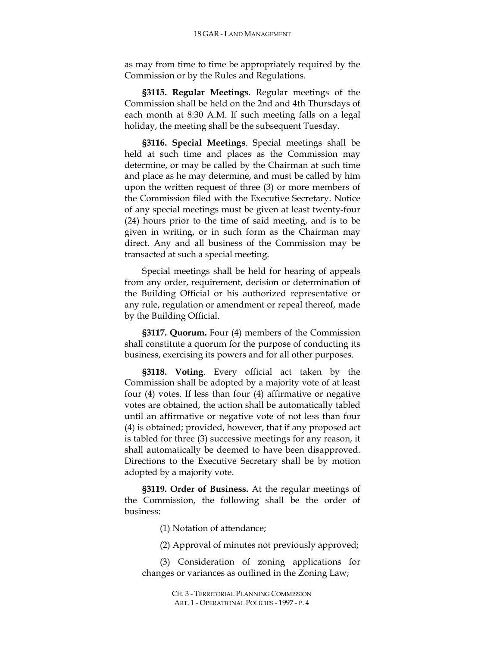as may from time to time be appropriately required by the Commission or by the Rules and Regulations.

**§3115. Regular Meetings**. Regular meetings of the Commission shall be held on the 2nd and 4th Thursdays of each month at 8:30 A.M. If such meeting falls on a legal holiday, the meeting shall be the subsequent Tuesday.

**§3116. Special Meetings**. Special meetings shall be held at such time and places as the Commission may determine, or may be called by the Chairman at such time and place as he may determine, and must be called by him upon the written request of three (3) or more members of the Commission filed with the Executive Secretary. Notice of any special meetings must be given at least twenty-four (24) hours prior to the time of said meeting, and is to be given in writing, or in such form as the Chairman may direct. Any and all business of the Commission may be transacted at such a special meeting.

Special meetings shall be held for hearing of appeals from any order, requirement, decision or determination of the Building Official or his authorized representative or any rule, regulation or amendment or repeal thereof, made by the Building Official.

**§3117. Quorum.** Four (4) members of the Commission shall constitute a quorum for the purpose of conducting its business, exercising its powers and for all other purposes.

**§3118. Voting**. Every official act taken by the Commission shall be adopted by a majority vote of at least four (4) votes. If less than four (4) affirmative or negative votes are obtained, the action shall be automatically tabled until an affirmative or negative vote of not less than four (4) is obtained; provided, however, that if any proposed act is tabled for three (3) successive meetings for any reason, it shall automatically be deemed to have been disapproved. Directions to the Executive Secretary shall be by motion adopted by a majority vote.

**§3119. Order of Business.** At the regular meetings of the Commission, the following shall be the order of business:

(1) Notation of attendance;

(2) Approval of minutes not previously approved;

(3) Consideration of zoning applications for changes or variances as outlined in the Zoning Law;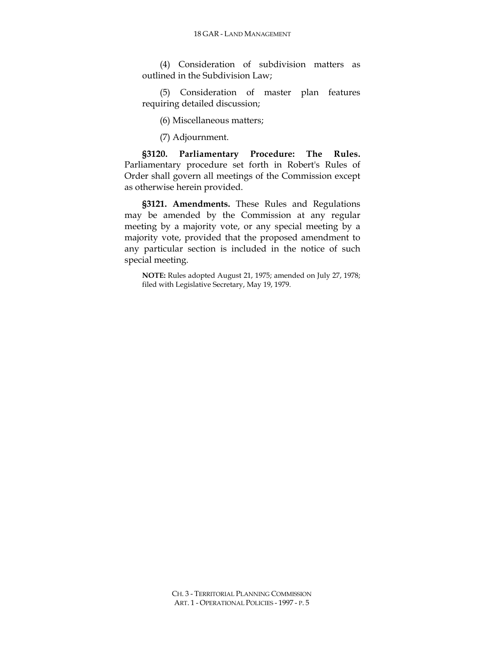(4) Consideration of subdivision matters as outlined in the Subdivision Law;

(5) Consideration of master plan features requiring detailed discussion;

(6) Miscellaneous matters;

(7) Adjournment.

**§3120. Parliamentary Procedure: The Rules.** Parliamentary procedure set forth in Robert's Rules of Order shall govern all meetings of the Commission except as otherwise herein provided.

**§3121. Amendments.** These Rules and Regulations may be amended by the Commission at any regular meeting by a majority vote, or any special meeting by a majority vote, provided that the proposed amendment to any particular section is included in the notice of such special meeting.

**NOTE:** Rules adopted August 21, 1975; amended on July 27, 1978; filed with Legislative Secretary, May 19, 1979.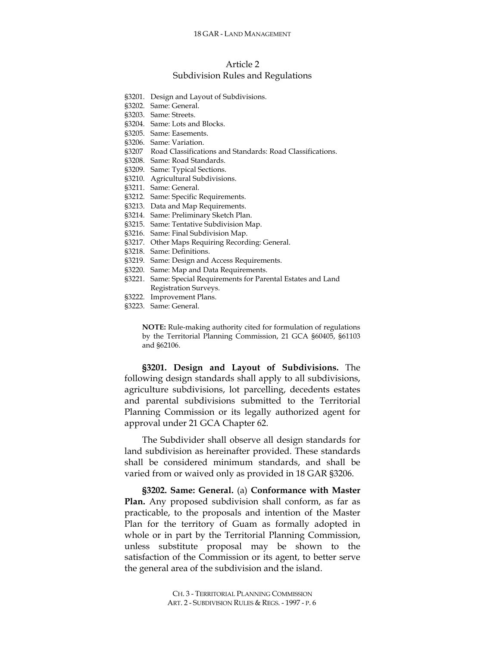# Article 2 Subdivision Rules and Regulations

- §3201. Design and Layout of Subdivisions.
- §3202. Same: General.
- §3203. Same: Streets.
- §3204. Same: Lots and Blocks.
- §3205. Same: Easements.
- §3206. Same: Variation.
- §3207 Road Classifications and Standards: Road Classifications.
- §3208. Same: Road Standards.
- §3209. Same: Typical Sections.
- §3210. Agricultural Subdivisions.
- §3211. Same: General.
- §3212. Same: Specific Requirements.
- §3213. Data and Map Requirements.
- §3214. Same: Preliminary Sketch Plan.
- §3215. Same: Tentative Subdivision Map.
- §3216. Same: Final Subdivision Map.
- §3217. Other Maps Requiring Recording: General.
- §3218. Same: Definitions.
- §3219. Same: Design and Access Requirements.
- §3220. Same: Map and Data Requirements.
- §3221. Same: Special Requirements for Parental Estates and Land Registration Surveys.
- §3222. Improvement Plans.
- §3223. Same: General.

**NOTE:** Rule-making authority cited for formulation of regulations by the Territorial Planning Commission, 21 GCA §60405, §61103 and §62106.

**§3201. Design and Layout of Subdivisions.** The following design standards shall apply to all subdivisions, agriculture subdivisions, lot parcelling, decedents estates and parental subdivisions submitted to the Territorial Planning Commission or its legally authorized agent for approval under 21 GCA Chapter 62.

The Subdivider shall observe all design standards for land subdivision as hereinafter provided. These standards shall be considered minimum standards, and shall be varied from or waived only as provided in 18 GAR §3206.

**§3202. Same: General.** (a) **Conformance with Master Plan.** Any proposed subdivision shall conform, as far as practicable, to the proposals and intention of the Master Plan for the territory of Guam as formally adopted in whole or in part by the Territorial Planning Commission, unless substitute proposal may be shown to the satisfaction of the Commission or its agent, to better serve the general area of the subdivision and the island.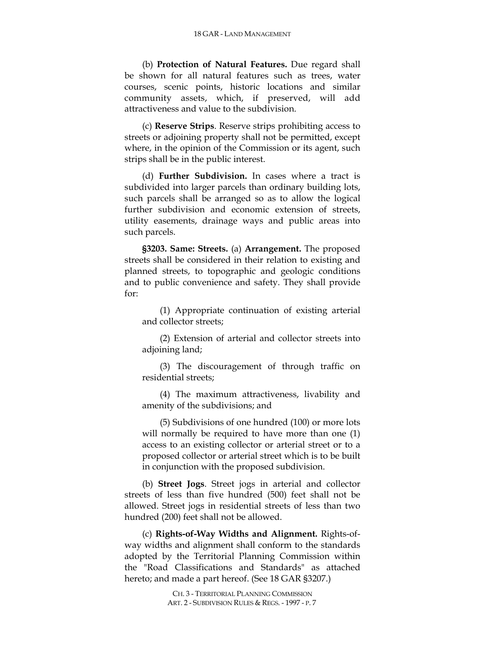(b) **Protection of Natural Features.** Due regard shall be shown for all natural features such as trees, water courses, scenic points, historic locations and similar community assets, which, if preserved, will add attractiveness and value to the subdivision.

(c) **Reserve Strips**. Reserve strips prohibiting access to streets or adjoining property shall not be permitted, except where, in the opinion of the Commission or its agent, such strips shall be in the public interest.

(d) **Further Subdivision.** In cases where a tract is subdivided into larger parcels than ordinary building lots, such parcels shall be arranged so as to allow the logical further subdivision and economic extension of streets, utility easements, drainage ways and public areas into such parcels.

**§3203. Same: Streets.** (a) **Arrangement.** The proposed streets shall be considered in their relation to existing and planned streets, to topographic and geologic conditions and to public convenience and safety. They shall provide for:

(1) Appropriate continuation of existing arterial and collector streets;

(2) Extension of arterial and collector streets into adjoining land;

(3) The discouragement of through traffic on residential streets;

(4) The maximum attractiveness, livability and amenity of the subdivisions; and

(5) Subdivisions of one hundred (100) or more lots will normally be required to have more than one  $(1)$ access to an existing collector or arterial street or to a proposed collector or arterial street which is to be built in conjunction with the proposed subdivision.

(b) **Street Jogs**. Street jogs in arterial and collector streets of less than five hundred (500) feet shall not be allowed. Street jogs in residential streets of less than two hundred (200) feet shall not be allowed.

(c) **Rights-of-Way Widths and Alignment.** Rights-ofway widths and alignment shall conform to the standards adopted by the Territorial Planning Commission within the "Road Classifications and Standards" as attached hereto; and made a part hereof. (See 18 GAR §3207.)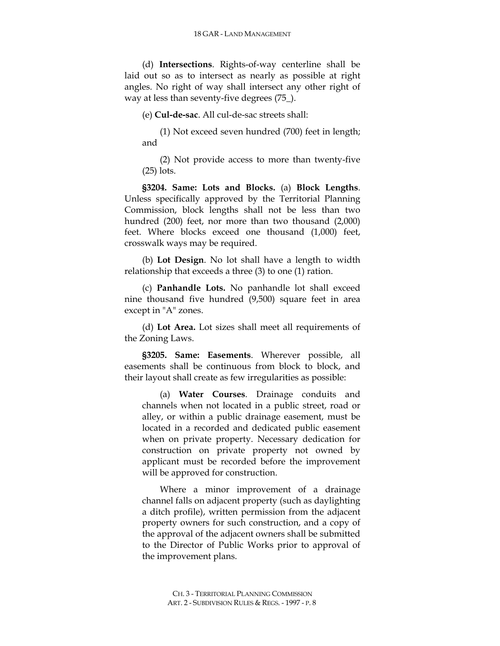(d) **Intersections**. Rights-of-way centerline shall be laid out so as to intersect as nearly as possible at right angles. No right of way shall intersect any other right of way at less than seventy-five degrees (75\_).

(e) **Cul-de-sac**. All cul-de-sac streets shall:

(1) Not exceed seven hundred (700) feet in length; and

(2) Not provide access to more than twenty-five (25) lots.

**§3204. Same: Lots and Blocks.** (a) **Block Lengths**. Unless specifically approved by the Territorial Planning Commission, block lengths shall not be less than two hundred (200) feet, nor more than two thousand (2,000) feet. Where blocks exceed one thousand (1,000) feet, crosswalk ways may be required.

(b) **Lot Design**. No lot shall have a length to width relationship that exceeds a three (3) to one (1) ration.

(c) **Panhandle Lots.** No panhandle lot shall exceed nine thousand five hundred (9,500) square feet in area except in "A" zones.

(d) **Lot Area.** Lot sizes shall meet all requirements of the Zoning Laws.

**§3205. Same: Easements**. Wherever possible, all easements shall be continuous from block to block, and their layout shall create as few irregularities as possible:

(a) **Water Courses**. Drainage conduits and channels when not located in a public street, road or alley, or within a public drainage easement, must be located in a recorded and dedicated public easement when on private property. Necessary dedication for construction on private property not owned by applicant must be recorded before the improvement will be approved for construction.

Where a minor improvement of a drainage channel falls on adjacent property (such as daylighting a ditch profile), written permission from the adjacent property owners for such construction, and a copy of the approval of the adjacent owners shall be submitted to the Director of Public Works prior to approval of the improvement plans.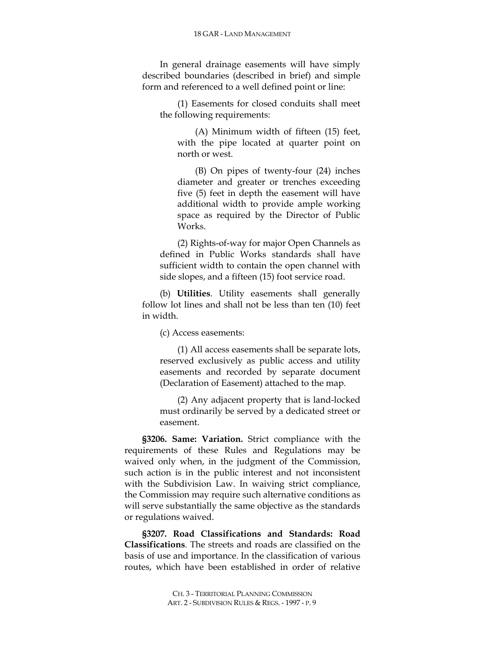In general drainage easements will have simply described boundaries (described in brief) and simple form and referenced to a well defined point or line:

(1) Easements for closed conduits shall meet the following requirements:

(A) Minimum width of fifteen (15) feet, with the pipe located at quarter point on north or west.

(B) On pipes of twenty-four (24) inches diameter and greater or trenches exceeding five (5) feet in depth the easement will have additional width to provide ample working space as required by the Director of Public Works.

(2) Rights-of-way for major Open Channels as defined in Public Works standards shall have sufficient width to contain the open channel with side slopes, and a fifteen (15) foot service road.

(b) **Utilities**. Utility easements shall generally follow lot lines and shall not be less than ten (10) feet in width.

(c) Access easements:

(1) All access easements shall be separate lots, reserved exclusively as public access and utility easements and recorded by separate document (Declaration of Easement) attached to the map.

(2) Any adjacent property that is land-locked must ordinarily be served by a dedicated street or easement.

**§3206. Same: Variation.** Strict compliance with the requirements of these Rules and Regulations may be waived only when, in the judgment of the Commission, such action is in the public interest and not inconsistent with the Subdivision Law. In waiving strict compliance, the Commission may require such alternative conditions as will serve substantially the same objective as the standards or regulations waived.

**§3207. Road Classifications and Standards: Road Classifications**. The streets and roads are classified on the basis of use and importance. In the classification of various routes, which have been established in order of relative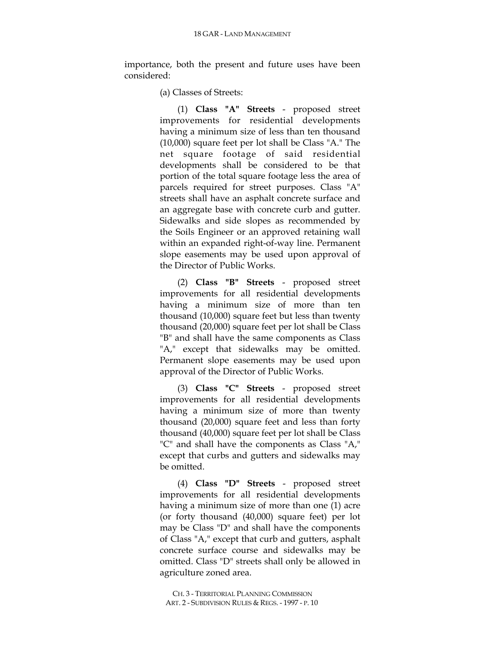importance, both the present and future uses have been considered:

(a) Classes of Streets:

(1) **Class "A" Streets** - proposed street improvements for residential developments having a minimum size of less than ten thousand (10,000) square feet per lot shall be Class "A." The net square footage of said residential developments shall be considered to be that portion of the total square footage less the area of parcels required for street purposes. Class "A" streets shall have an asphalt concrete surface and an aggregate base with concrete curb and gutter. Sidewalks and side slopes as recommended by the Soils Engineer or an approved retaining wall within an expanded right-of-way line. Permanent slope easements may be used upon approval of the Director of Public Works.

(2) **Class "B" Streets** - proposed street improvements for all residential developments having a minimum size of more than ten thousand (10,000) square feet but less than twenty thousand (20,000) square feet per lot shall be Class "B" and shall have the same components as Class "A," except that sidewalks may be omitted. Permanent slope easements may be used upon approval of the Director of Public Works.

(3) **Class "C" Streets** - proposed street improvements for all residential developments having a minimum size of more than twenty thousand (20,000) square feet and less than forty thousand (40,000) square feet per lot shall be Class "C" and shall have the components as Class "A," except that curbs and gutters and sidewalks may be omitted.

(4) **Class "D" Streets** - proposed street improvements for all residential developments having a minimum size of more than one (1) acre (or forty thousand (40,000) square feet) per lot may be Class "D" and shall have the components of Class "A," except that curb and gutters, asphalt concrete surface course and sidewalks may be omitted. Class "D" streets shall only be allowed in agriculture zoned area.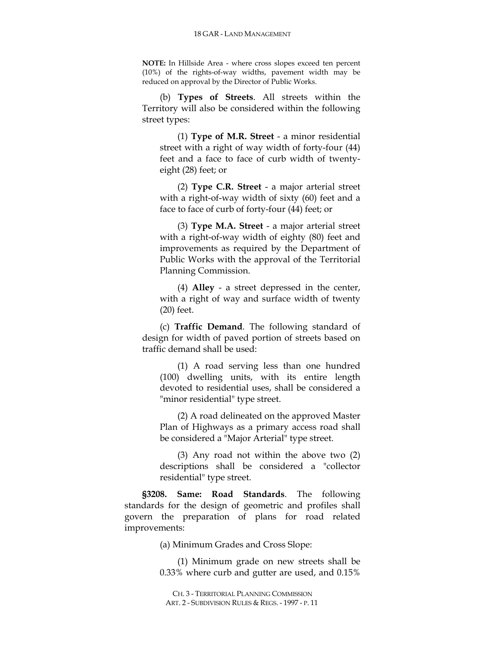**NOTE:** In Hillside Area - where cross slopes exceed ten percent (10%) of the rights-of-way widths, pavement width may be reduced on approval by the Director of Public Works.

(b) **Types of Streets**. All streets within the Territory will also be considered within the following street types:

(1) **Type of M.R. Street** - a minor residential street with a right of way width of forty-four (44) feet and a face to face of curb width of twentyeight (28) feet; or

(2) **Type C.R. Street** - a major arterial street with a right-of-way width of sixty (60) feet and a face to face of curb of forty-four (44) feet; or

(3) **Type M.A. Street** - a major arterial street with a right-of-way width of eighty (80) feet and improvements as required by the Department of Public Works with the approval of the Territorial Planning Commission.

(4) **Alley** - a street depressed in the center, with a right of way and surface width of twenty (20) feet.

(c) **Traffic Demand**. The following standard of design for width of paved portion of streets based on traffic demand shall be used:

(1) A road serving less than one hundred (100) dwelling units, with its entire length devoted to residential uses, shall be considered a "minor residential" type street.

(2) A road delineated on the approved Master Plan of Highways as a primary access road shall be considered a "Major Arterial" type street.

(3) Any road not within the above two (2) descriptions shall be considered a "collector residential" type street.

**§3208. Same: Road Standards**. The following standards for the design of geometric and profiles shall govern the preparation of plans for road related improvements:

(a) Minimum Grades and Cross Slope:

(1) Minimum grade on new streets shall be 0.33% where curb and gutter are used, and 0.15%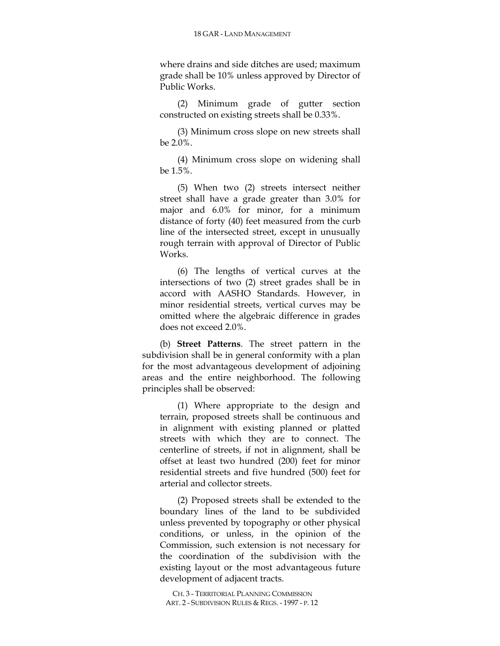where drains and side ditches are used; maximum grade shall be 10% unless approved by Director of Public Works.

(2) Minimum grade of gutter section constructed on existing streets shall be 0.33%.

(3) Minimum cross slope on new streets shall be 2.0%.

(4) Minimum cross slope on widening shall be 1.5%.

(5) When two (2) streets intersect neither street shall have a grade greater than 3.0% for major and 6.0% for minor, for a minimum distance of forty (40) feet measured from the curb line of the intersected street, except in unusually rough terrain with approval of Director of Public Works.

(6) The lengths of vertical curves at the intersections of two (2) street grades shall be in accord with AASHO Standards. However, in minor residential streets, vertical curves may be omitted where the algebraic difference in grades does not exceed 2.0%.

(b) **Street Patterns**. The street pattern in the subdivision shall be in general conformity with a plan for the most advantageous development of adjoining areas and the entire neighborhood. The following principles shall be observed:

(1) Where appropriate to the design and terrain, proposed streets shall be continuous and in alignment with existing planned or platted streets with which they are to connect. The centerline of streets, if not in alignment, shall be offset at least two hundred (200) feet for minor residential streets and five hundred (500) feet for arterial and collector streets.

(2) Proposed streets shall be extended to the boundary lines of the land to be subdivided unless prevented by topography or other physical conditions, or unless, in the opinion of the Commission, such extension is not necessary for the coordination of the subdivision with the existing layout or the most advantageous future development of adjacent tracts.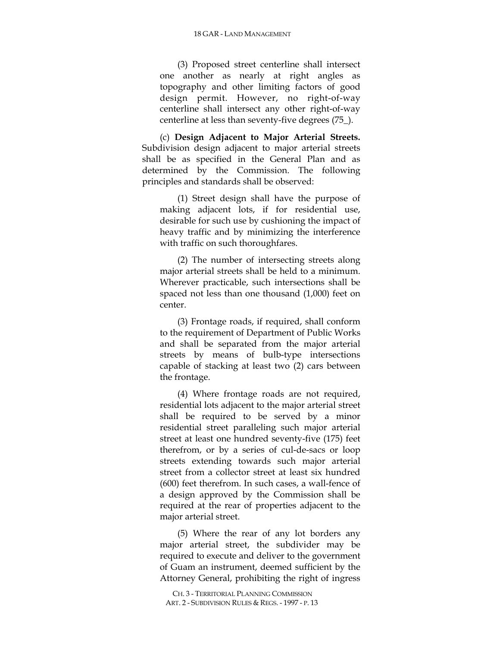(3) Proposed street centerline shall intersect one another as nearly at right angles as topography and other limiting factors of good design permit. However, no right-of-way centerline shall intersect any other right-of-way centerline at less than seventy-five degrees (75\_).

(c) **Design Adjacent to Major Arterial Streets.** Subdivision design adjacent to major arterial streets shall be as specified in the General Plan and as determined by the Commission. The following principles and standards shall be observed:

(1) Street design shall have the purpose of making adjacent lots, if for residential use, desirable for such use by cushioning the impact of heavy traffic and by minimizing the interference with traffic on such thoroughfares.

(2) The number of intersecting streets along major arterial streets shall be held to a minimum. Wherever practicable, such intersections shall be spaced not less than one thousand (1,000) feet on center.

(3) Frontage roads, if required, shall conform to the requirement of Department of Public Works and shall be separated from the major arterial streets by means of bulb-type intersections capable of stacking at least two (2) cars between the frontage.

(4) Where frontage roads are not required, residential lots adjacent to the major arterial street shall be required to be served by a minor residential street paralleling such major arterial street at least one hundred seventy-five (175) feet therefrom, or by a series of cul-de-sacs or loop streets extending towards such major arterial street from a collector street at least six hundred (600) feet therefrom. In such cases, a wall-fence of a design approved by the Commission shall be required at the rear of properties adjacent to the major arterial street.

(5) Where the rear of any lot borders any major arterial street, the subdivider may be required to execute and deliver to the government of Guam an instrument, deemed sufficient by the Attorney General, prohibiting the right of ingress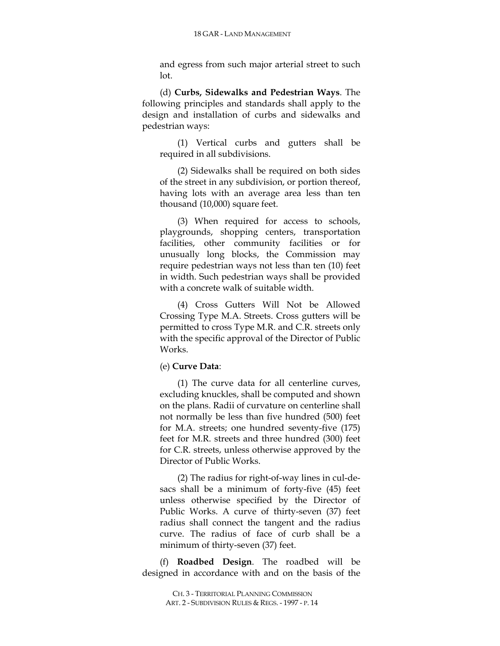and egress from such major arterial street to such lot.

(d) **Curbs, Sidewalks and Pedestrian Ways**. The following principles and standards shall apply to the design and installation of curbs and sidewalks and pedestrian ways:

(1) Vertical curbs and gutters shall be required in all subdivisions.

(2) Sidewalks shall be required on both sides of the street in any subdivision, or portion thereof, having lots with an average area less than ten thousand (10,000) square feet.

(3) When required for access to schools, playgrounds, shopping centers, transportation facilities, other community facilities or for unusually long blocks, the Commission may require pedestrian ways not less than ten (10) feet in width. Such pedestrian ways shall be provided with a concrete walk of suitable width.

(4) Cross Gutters Will Not be Allowed Crossing Type M.A. Streets. Cross gutters will be permitted to cross Type M.R. and C.R. streets only with the specific approval of the Director of Public Works.

### (e) **Curve Data**:

(1) The curve data for all centerline curves, excluding knuckles, shall be computed and shown on the plans. Radii of curvature on centerline shall not normally be less than five hundred (500) feet for M.A. streets; one hundred seventy-five (175) feet for M.R. streets and three hundred (300) feet for C.R. streets, unless otherwise approved by the Director of Public Works.

(2) The radius for right-of-way lines in cul-desacs shall be a minimum of forty-five (45) feet unless otherwise specified by the Director of Public Works. A curve of thirty-seven (37) feet radius shall connect the tangent and the radius curve. The radius of face of curb shall be a minimum of thirty-seven (37) feet.

(f) **Roadbed Design**. The roadbed will be designed in accordance with and on the basis of the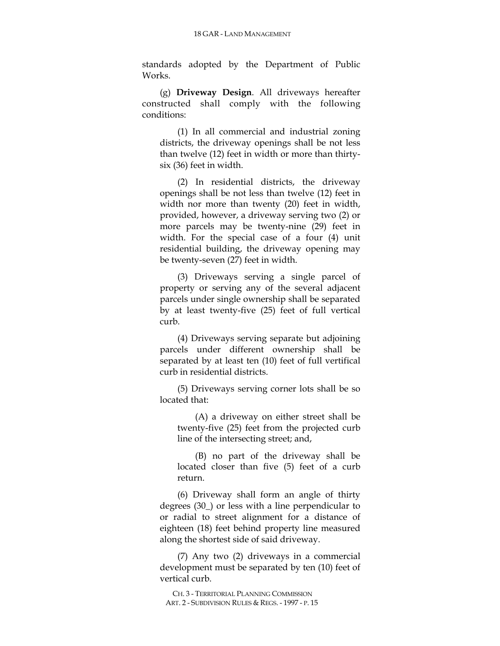standards adopted by the Department of Public Works.

(g) **Driveway Design**. All driveways hereafter constructed shall comply with the following conditions:

(1) In all commercial and industrial zoning districts, the driveway openings shall be not less than twelve (12) feet in width or more than thirtysix (36) feet in width.

(2) In residential districts, the driveway openings shall be not less than twelve (12) feet in width nor more than twenty (20) feet in width, provided, however, a driveway serving two (2) or more parcels may be twenty-nine (29) feet in width. For the special case of a four (4) unit residential building, the driveway opening may be twenty-seven (27) feet in width.

(3) Driveways serving a single parcel of property or serving any of the several adjacent parcels under single ownership shall be separated by at least twenty-five (25) feet of full vertical curb.

(4) Driveways serving separate but adjoining parcels under different ownership shall be separated by at least ten (10) feet of full vertifical curb in residential districts.

(5) Driveways serving corner lots shall be so located that:

(A) a driveway on either street shall be twenty-five (25) feet from the projected curb line of the intersecting street; and,

(B) no part of the driveway shall be located closer than five (5) feet of a curb return.

(6) Driveway shall form an angle of thirty degrees (30\_) or less with a line perpendicular to or radial to street alignment for a distance of eighteen (18) feet behind property line measured along the shortest side of said driveway.

(7) Any two (2) driveways in a commercial development must be separated by ten (10) feet of vertical curb.

CH. 3 - TERRITORIAL PLANNING COMMISSION ART. 2 - SUBDIVISION RULES & REGS. - 1997 - P. 15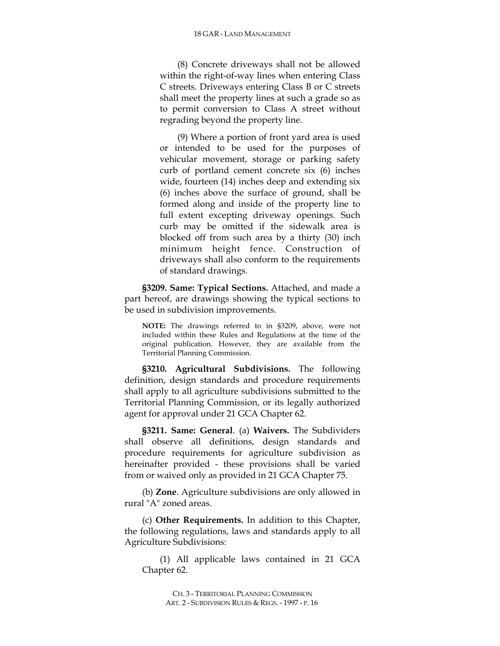(8) Concrete driveways shall not be allowed within the right-of-way lines when entering Class C streets. Driveways entering Class B or C streets shall meet the property lines at such a grade so as to permit conversion to Class A street without regrading beyond the property line.

(9) Where a portion of front yard area is used or intended to be used for the purposes of vehicular movement, storage or parking safety curb of portland cement concrete six (6) inches wide, fourteen (14) inches deep and extending six (6) inches above the surface of ground, shall be formed along and inside of the property line to full extent excepting driveway openings. Such curb may be omitted if the sidewalk area is blocked off from such area by a thirty (30) inch minimum height fence. Construction of driveways shall also conform to the requirements of standard drawings.

**§3209. Same: Typical Sections.** Attached, and made a part hereof, are drawings showing the typical sections to be used in subdivision improvements.

**NOTE:** The drawings referred to in §3209, above, were not included within these Rules and Regulations at the time of the original publication. However, they are available from the Territorial Planning Commission.

**§3210. Agricultural Subdivisions.** The following definition, design standards and procedure requirements shall apply to all agriculture subdivisions submitted to the Territorial Planning Commission, or its legally authorized agent for approval under 21 GCA Chapter 62.

**§3211. Same: General**. (a) **Waivers.** The Subdividers shall observe all definitions, design standards and procedure requirements for agriculture subdivision as hereinafter provided - these provisions shall be varied from or waived only as provided in 21 GCA Chapter 75.

(b) **Zone**. Agriculture subdivisions are only allowed in rural "A" zoned areas.

(c) **Other Requirements.** In addition to this Chapter, the following regulations, laws and standards apply to all Agriculture Subdivisions:

(1) All applicable laws contained in 21 GCA Chapter 62.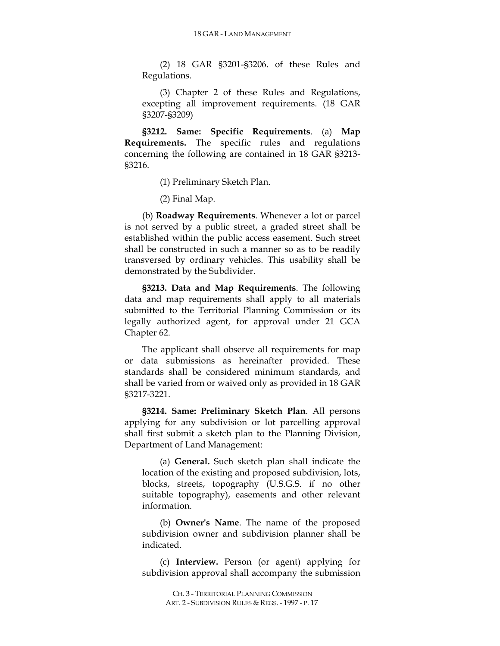(2) 18 GAR §3201-§3206. of these Rules and Regulations.

(3) Chapter 2 of these Rules and Regulations, excepting all improvement requirements. (18 GAR §3207-§3209)

**§3212. Same: Specific Requirements**. (a) **Map Requirements.** The specific rules and regulations concerning the following are contained in 18 GAR §3213- §3216.

(1) Preliminary Sketch Plan.

(2) Final Map.

(b) **Roadway Requirements**. Whenever a lot or parcel is not served by a public street, a graded street shall be established within the public access easement. Such street shall be constructed in such a manner so as to be readily transversed by ordinary vehicles. This usability shall be demonstrated by the Subdivider.

**§3213. Data and Map Requirements**. The following data and map requirements shall apply to all materials submitted to the Territorial Planning Commission or its legally authorized agent, for approval under 21 GCA Chapter 62.

The applicant shall observe all requirements for map or data submissions as hereinafter provided. These standards shall be considered minimum standards, and shall be varied from or waived only as provided in 18 GAR §3217-3221.

**§3214. Same: Preliminary Sketch Plan**. All persons applying for any subdivision or lot parcelling approval shall first submit a sketch plan to the Planning Division, Department of Land Management:

(a) **General.** Such sketch plan shall indicate the location of the existing and proposed subdivision, lots, blocks, streets, topography (U.S.G.S. if no other suitable topography), easements and other relevant information.

(b) **Owner's Name**. The name of the proposed subdivision owner and subdivision planner shall be indicated.

(c) **Interview.** Person (or agent) applying for subdivision approval shall accompany the submission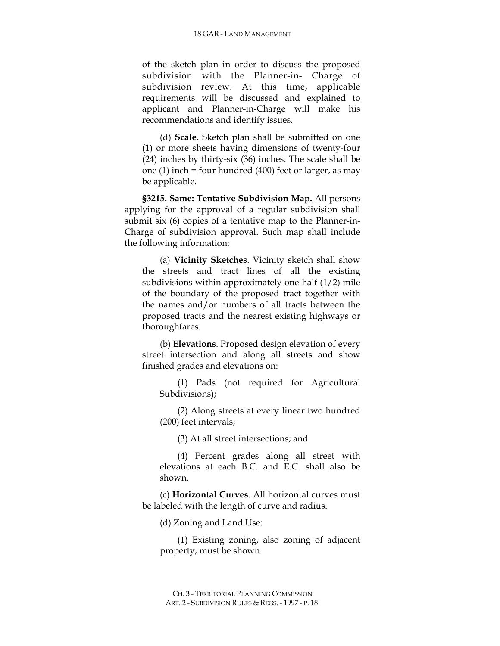of the sketch plan in order to discuss the proposed subdivision with the Planner-in- Charge of subdivision review. At this time, applicable requirements will be discussed and explained to applicant and Planner-in-Charge will make his recommendations and identify issues.

(d) **Scale.** Sketch plan shall be submitted on one (1) or more sheets having dimensions of twenty-four (24) inches by thirty-six (36) inches. The scale shall be one (1) inch = four hundred (400) feet or larger, as may be applicable.

**§3215. Same: Tentative Subdivision Map.** All persons applying for the approval of a regular subdivision shall submit six (6) copies of a tentative map to the Planner-in-Charge of subdivision approval. Such map shall include the following information:

(a) **Vicinity Sketches**. Vicinity sketch shall show the streets and tract lines of all the existing subdivisions within approximately one-half (1/2) mile of the boundary of the proposed tract together with the names and/or numbers of all tracts between the proposed tracts and the nearest existing highways or thoroughfares.

(b) **Elevations**. Proposed design elevation of every street intersection and along all streets and show finished grades and elevations on:

(1) Pads (not required for Agricultural Subdivisions);

(2) Along streets at every linear two hundred (200) feet intervals;

(3) At all street intersections; and

(4) Percent grades along all street with elevations at each B.C. and E.C. shall also be shown.

(c) **Horizontal Curves**. All horizontal curves must be labeled with the length of curve and radius.

(d) Zoning and Land Use:

(1) Existing zoning, also zoning of adjacent property, must be shown.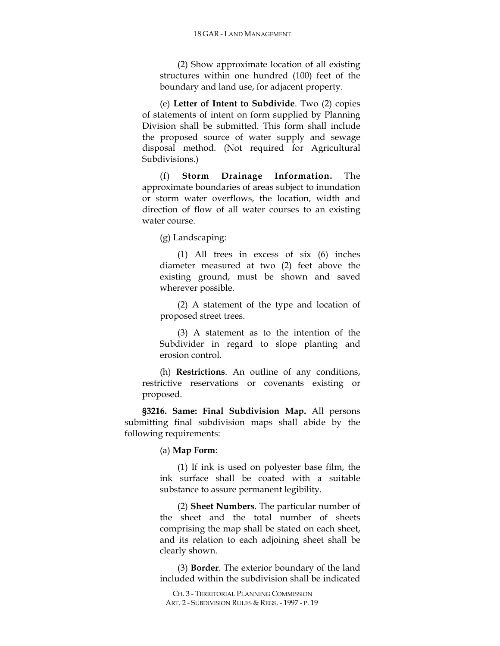(2) Show approximate location of all existing structures within one hundred (100) feet of the boundary and land use, for adjacent property.

(e) **Letter of Intent to Subdivide**. Two (2) copies of statements of intent on form supplied by Planning Division shall be submitted. This form shall include the proposed source of water supply and sewage disposal method. (Not required for Agricultural Subdivisions.)

(f) **Storm Drainage Information.** The approximate boundaries of areas subject to inundation or storm water overflows, the location, width and direction of flow of all water courses to an existing water course.

(g) Landscaping:

(1) All trees in excess of six (6) inches diameter measured at two (2) feet above the existing ground, must be shown and saved wherever possible.

(2) A statement of the type and location of proposed street trees.

(3) A statement as to the intention of the Subdivider in regard to slope planting and erosion control.

(h) **Restrictions**. An outline of any conditions, restrictive reservations or covenants existing or proposed.

**§3216. Same: Final Subdivision Map.** All persons submitting final subdivision maps shall abide by the following requirements:

(a) **Map Form**:

(1) If ink is used on polyester base film, the ink surface shall be coated with a suitable substance to assure permanent legibility.

(2) **Sheet Numbers**. The particular number of the sheet and the total number of sheets comprising the map shall be stated on each sheet, and its relation to each adjoining sheet shall be clearly shown.

(3) **Border**. The exterior boundary of the land included within the subdivision shall be indicated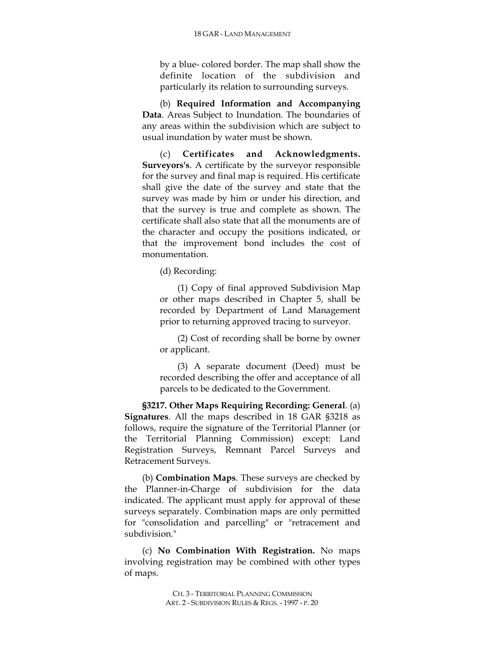by a blue- colored border. The map shall show the definite location of the subdivision and particularly its relation to surrounding surveys.

(b) **Required Information and Accompanying Data**. Areas Subject to Inundation. The boundaries of any areas within the subdivision which are subject to usual inundation by water must be shown.

(c) **Certificates and Acknowledgments. Surveyors's**. A certificate by the surveyor responsible for the survey and final map is required. His certificate shall give the date of the survey and state that the survey was made by him or under his direction, and that the survey is true and complete as shown. The certificate shall also state that all the monuments are of the character and occupy the positions indicated, or that the improvement bond includes the cost of monumentation.

(d) Recording:

(1) Copy of final approved Subdivision Map or other maps described in Chapter 5, shall be recorded by Department of Land Management prior to returning approved tracing to surveyor.

(2) Cost of recording shall be borne by owner or applicant.

(3) A separate document (Deed) must be recorded describing the offer and acceptance of all parcels to be dedicated to the Government.

**§3217. Other Maps Requiring Recording: General**. (a) **Signatures**. All the maps described in 18 GAR §3218 as follows, require the signature of the Territorial Planner (or the Territorial Planning Commission) except: Land Registration Surveys, Remnant Parcel Surveys and Retracement Surveys.

(b) **Combination Maps**. These surveys are checked by the Planner-in-Charge of subdivision for the data indicated. The applicant must apply for approval of these surveys separately. Combination maps are only permitted for "consolidation and parcelling" or "retracement and subdivision."

(c) **No Combination With Registration.** No maps involving registration may be combined with other types of maps.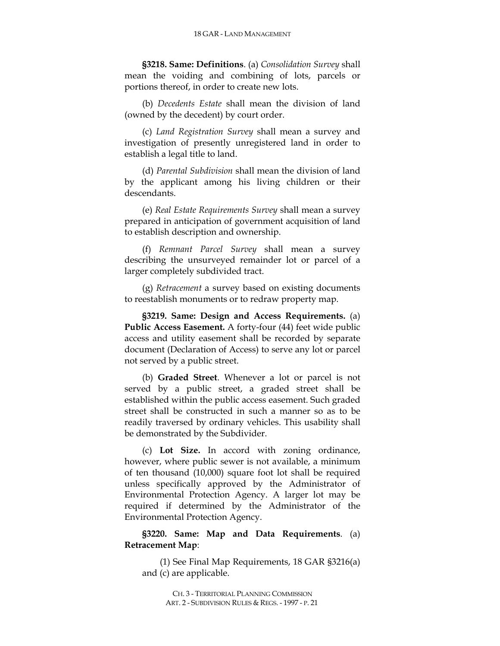**§3218. Same: Definitions**. (a) *Consolidation Survey* shall mean the voiding and combining of lots, parcels or portions thereof, in order to create new lots.

(b) *Decedents Estate* shall mean the division of land (owned by the decedent) by court order.

(c) *Land Registration Survey* shall mean a survey and investigation of presently unregistered land in order to establish a legal title to land.

(d) *Parental Subdivision* shall mean the division of land by the applicant among his living children or their descendants.

(e) *Real Estate Requirements Survey* shall mean a survey prepared in anticipation of government acquisition of land to establish description and ownership.

(f) *Remnant Parcel Survey* shall mean a survey describing the unsurveyed remainder lot or parcel of a larger completely subdivided tract.

(g) *Retracement* a survey based on existing documents to reestablish monuments or to redraw property map.

**§3219. Same: Design and Access Requirements.** (a) **Public Access Easement.** A forty-four (44) feet wide public access and utility easement shall be recorded by separate document (Declaration of Access) to serve any lot or parcel not served by a public street.

(b) **Graded Street**. Whenever a lot or parcel is not served by a public street, a graded street shall be established within the public access easement. Such graded street shall be constructed in such a manner so as to be readily traversed by ordinary vehicles. This usability shall be demonstrated by the Subdivider.

(c) **Lot Size.** In accord with zoning ordinance, however, where public sewer is not available, a minimum of ten thousand (10,000) square foot lot shall be required unless specifically approved by the Administrator of Environmental Protection Agency. A larger lot may be required if determined by the Administrator of the Environmental Protection Agency.

**§3220. Same: Map and Data Requirements**. (a) **Retracement Map**:

(1) See Final Map Requirements, 18 GAR §3216(a) and (c) are applicable.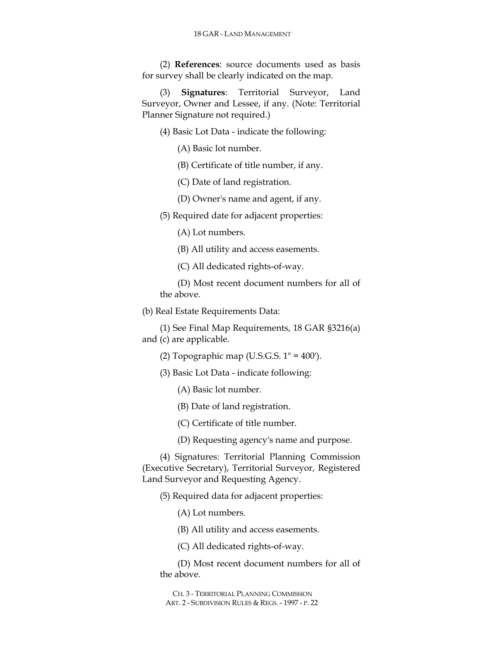(2) **References**: source documents used as basis for survey shall be clearly indicated on the map.

(3) **Signatures**: Territorial Surveyor, Land Surveyor, Owner and Lessee, if any. (Note: Territorial Planner Signature not required.)

- (4) Basic Lot Data indicate the following:
	- (A) Basic lot number.
	- (B) Certificate of title number, if any.
	- (C) Date of land registration.
	- (D) Owner's name and agent, if any.
- (5) Required date for adjacent properties:
	- (A) Lot numbers.
	- (B) All utility and access easements.
	- (C) All dedicated rights-of-way.

(D) Most recent document numbers for all of the above.

(b) Real Estate Requirements Data:

(1) See Final Map Requirements, 18 GAR §3216(a) and (c) are applicable.

(2) Topographic map (U.S.G.S.  $1" = 400'$ ).

- (3) Basic Lot Data indicate following:
	- (A) Basic lot number.
	- (B) Date of land registration.
	- (C) Certificate of title number.
	- (D) Requesting agency's name and purpose.

(4) Signatures: Territorial Planning Commission (Executive Secretary), Territorial Surveyor, Registered Land Surveyor and Requesting Agency.

(5) Required data for adjacent properties:

(A) Lot numbers.

(B) All utility and access easements.

(C) All dedicated rights-of-way.

(D) Most recent document numbers for all of the above.

CH. 3 - TERRITORIAL PLANNING COMMISSION ART. 2 - SUBDIVISION RULES & REGS. - 1997 - P. 22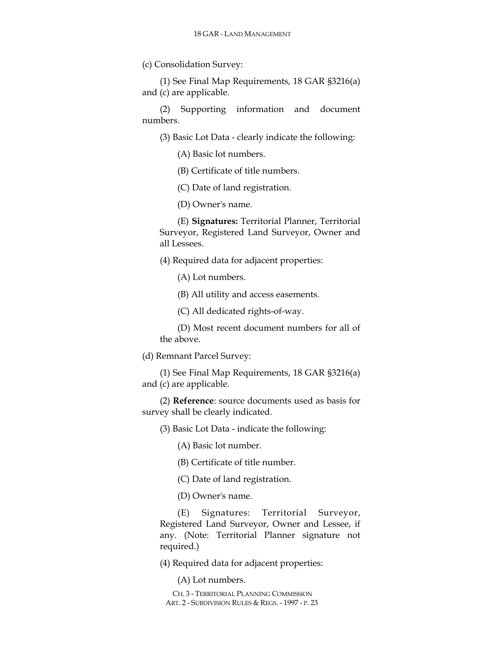(c) Consolidation Survey:

(1) See Final Map Requirements, 18 GAR §3216(a) and (c) are applicable.

(2) Supporting information and document numbers.

(3) Basic Lot Data - clearly indicate the following:

(A) Basic lot numbers.

(B) Certificate of title numbers.

(C) Date of land registration.

(D) Owner's name.

(E) **Signatures:** Territorial Planner, Territorial Surveyor, Registered Land Surveyor, Owner and all Lessees.

(4) Required data for adjacent properties:

(A) Lot numbers.

(B) All utility and access easements.

(C) All dedicated rights-of-way.

(D) Most recent document numbers for all of the above.

(d) Remnant Parcel Survey:

(1) See Final Map Requirements, 18 GAR §3216(a) and (c) are applicable.

(2) **Reference**: source documents used as basis for survey shall be clearly indicated.

(3) Basic Lot Data - indicate the following:

(A) Basic lot number.

(B) Certificate of title number.

(C) Date of land registration.

(D) Owner's name.

(E) Signatures: Territorial Surveyor, Registered Land Surveyor, Owner and Lessee, if any. (Note: Territorial Planner signature not required.)

(4) Required data for adjacent properties:

(A) Lot numbers.

CH. 3 - TERRITORIAL PLANNING COMMISSION ART. 2 - SUBDIVISION RULES & REGS. - 1997 - P. 23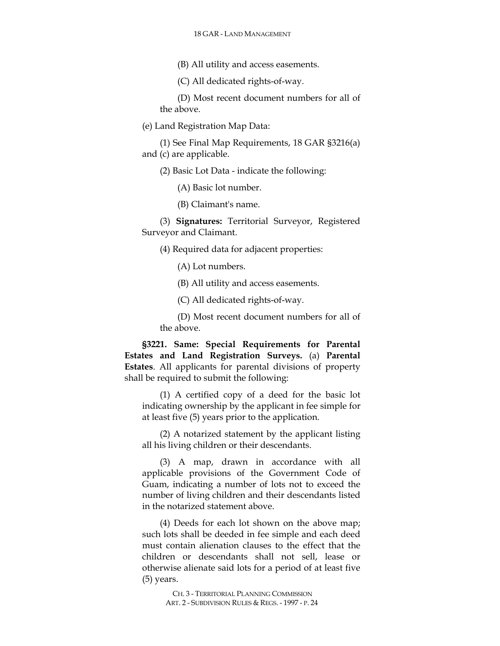(B) All utility and access easements.

(C) All dedicated rights-of-way.

(D) Most recent document numbers for all of the above.

(e) Land Registration Map Data:

(1) See Final Map Requirements, 18 GAR §3216(a) and (c) are applicable.

(2) Basic Lot Data - indicate the following:

(A) Basic lot number.

(B) Claimant's name.

(3) **Signatures:** Territorial Surveyor, Registered Surveyor and Claimant.

(4) Required data for adjacent properties:

(A) Lot numbers.

(B) All utility and access easements.

(C) All dedicated rights-of-way.

(D) Most recent document numbers for all of the above.

**§3221. Same: Special Requirements for Parental Estates and Land Registration Surveys.** (a) **Parental Estates**. All applicants for parental divisions of property shall be required to submit the following:

(1) A certified copy of a deed for the basic lot indicating ownership by the applicant in fee simple for at least five (5) years prior to the application.

(2) A notarized statement by the applicant listing all his living children or their descendants.

(3) A map, drawn in accordance with all applicable provisions of the Government Code of Guam, indicating a number of lots not to exceed the number of living children and their descendants listed in the notarized statement above.

(4) Deeds for each lot shown on the above map; such lots shall be deeded in fee simple and each deed must contain alienation clauses to the effect that the children or descendants shall not sell, lease or otherwise alienate said lots for a period of at least five (5) years.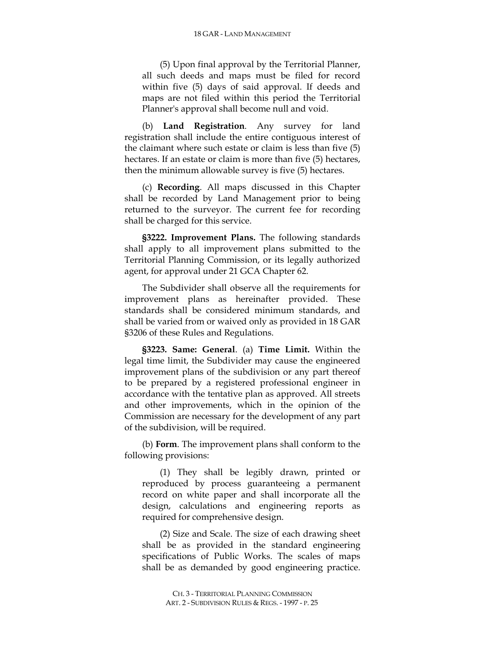(5) Upon final approval by the Territorial Planner, all such deeds and maps must be filed for record within five (5) days of said approval. If deeds and maps are not filed within this period the Territorial Planner's approval shall become null and void.

(b) **Land Registration**. Any survey for land registration shall include the entire contiguous interest of the claimant where such estate or claim is less than five (5) hectares. If an estate or claim is more than five (5) hectares, then the minimum allowable survey is five (5) hectares.

(c) **Recording**. All maps discussed in this Chapter shall be recorded by Land Management prior to being returned to the surveyor. The current fee for recording shall be charged for this service.

**§3222. Improvement Plans.** The following standards shall apply to all improvement plans submitted to the Territorial Planning Commission, or its legally authorized agent, for approval under 21 GCA Chapter 62.

The Subdivider shall observe all the requirements for improvement plans as hereinafter provided. These standards shall be considered minimum standards, and shall be varied from or waived only as provided in 18 GAR §3206 of these Rules and Regulations.

**§3223. Same: General**. (a) **Time Limit.** Within the legal time limit, the Subdivider may cause the engineered improvement plans of the subdivision or any part thereof to be prepared by a registered professional engineer in accordance with the tentative plan as approved. All streets and other improvements, which in the opinion of the Commission are necessary for the development of any part of the subdivision, will be required.

(b) **Form**. The improvement plans shall conform to the following provisions:

(1) They shall be legibly drawn, printed or reproduced by process guaranteeing a permanent record on white paper and shall incorporate all the design, calculations and engineering reports as required for comprehensive design.

(2) Size and Scale. The size of each drawing sheet shall be as provided in the standard engineering specifications of Public Works. The scales of maps shall be as demanded by good engineering practice.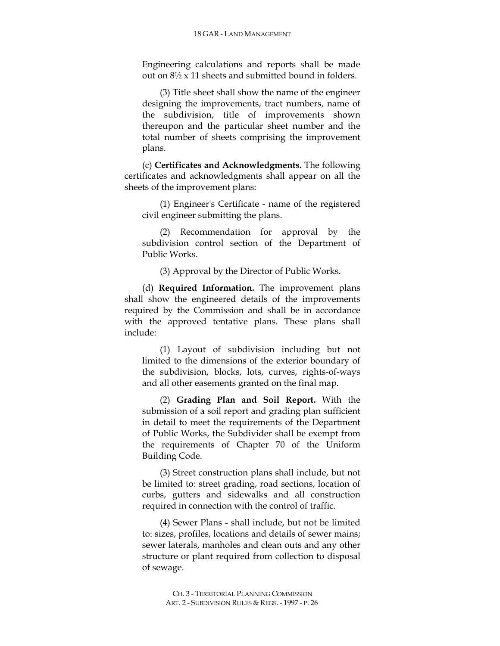Engineering calculations and reports shall be made out on 8½ x 11 sheets and submitted bound in folders.

(3) Title sheet shall show the name of the engineer designing the improvements, tract numbers, name of the subdivision, title of improvements shown thereupon and the particular sheet number and the total number of sheets comprising the improvement plans.

(c) **Certificates and Acknowledgments.** The following certificates and acknowledgments shall appear on all the sheets of the improvement plans:

(1) Engineer's Certificate - name of the registered civil engineer submitting the plans.

(2) Recommendation for approval by the subdivision control section of the Department of Public Works.

(3) Approval by the Director of Public Works.

(d) **Required Information.** The improvement plans shall show the engineered details of the improvements required by the Commission and shall be in accordance with the approved tentative plans. These plans shall include:

(1) Layout of subdivision including but not limited to the dimensions of the exterior boundary of the subdivision, blocks, lots, curves, rights-of-ways and all other easements granted on the final map.

(2) **Grading Plan and Soil Report.** With the submission of a soil report and grading plan sufficient in detail to meet the requirements of the Department of Public Works, the Subdivider shall be exempt from the requirements of Chapter 70 of the Uniform Building Code.

(3) Street construction plans shall include, but not be limited to: street grading, road sections, location of curbs, gutters and sidewalks and all construction required in connection with the control of traffic.

(4) Sewer Plans - shall include, but not be limited to: sizes, profiles, locations and details of sewer mains; sewer laterals, manholes and clean outs and any other structure or plant required from collection to disposal of sewage.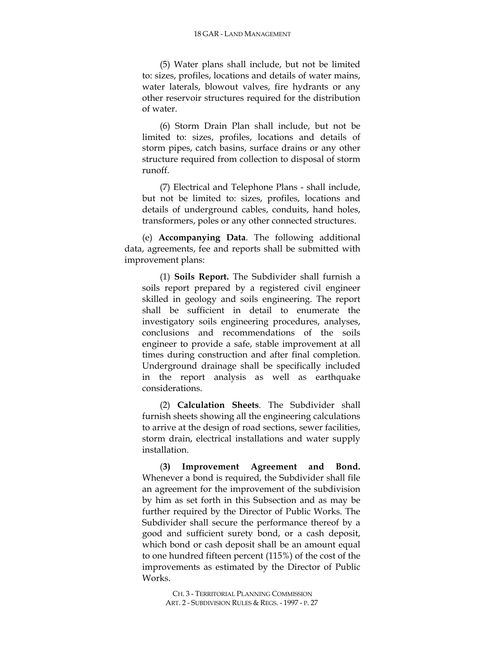(5) Water plans shall include, but not be limited to: sizes, profiles, locations and details of water mains, water laterals, blowout valves, fire hydrants or any other reservoir structures required for the distribution of water.

(6) Storm Drain Plan shall include, but not be limited to: sizes, profiles, locations and details of storm pipes, catch basins, surface drains or any other structure required from collection to disposal of storm runoff.

(7) Electrical and Telephone Plans - shall include, but not be limited to: sizes, profiles, locations and details of underground cables, conduits, hand holes, transformers, poles or any other connected structures.

(e) **Accompanying Data**. The following additional data, agreements, fee and reports shall be submitted with improvement plans:

(1) **Soils Report.** The Subdivider shall furnish a soils report prepared by a registered civil engineer skilled in geology and soils engineering. The report shall be sufficient in detail to enumerate the investigatory soils engineering procedures, analyses, conclusions and recommendations of the soils engineer to provide a safe, stable improvement at all times during construction and after final completion. Underground drainage shall be specifically included in the report analysis as well as earthquake considerations.

(2) **Calculation Sheets**. The Subdivider shall furnish sheets showing all the engineering calculations to arrive at the design of road sections, sewer facilities, storm drain, electrical installations and water supply installation.

(**3) Improvement Agreement and Bond.** Whenever a bond is required, the Subdivider shall file an agreement for the improvement of the subdivision by him as set forth in this Subsection and as may be further required by the Director of Public Works. The Subdivider shall secure the performance thereof by a good and sufficient surety bond, or a cash deposit, which bond or cash deposit shall be an amount equal to one hundred fifteen percent (115%) of the cost of the improvements as estimated by the Director of Public Works.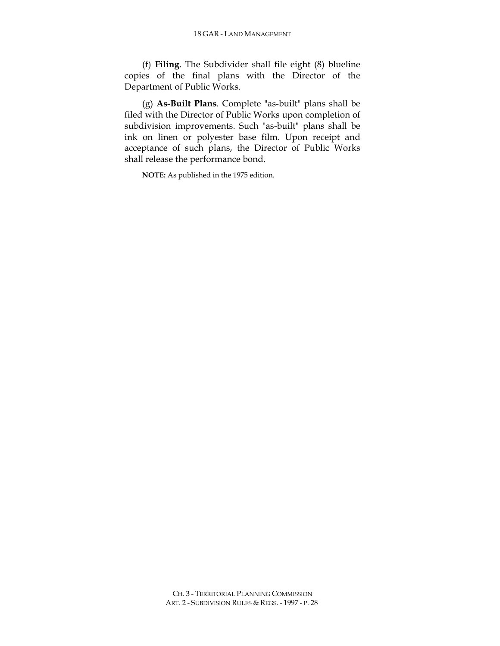(f) **Filing**. The Subdivider shall file eight (8) blueline copies of the final plans with the Director of the Department of Public Works.

(g) **As-Built Plans**. Complete "as-built" plans shall be filed with the Director of Public Works upon completion of subdivision improvements. Such "as-built" plans shall be ink on linen or polyester base film. Upon receipt and acceptance of such plans, the Director of Public Works shall release the performance bond.

**NOTE:** As published in the 1975 edition.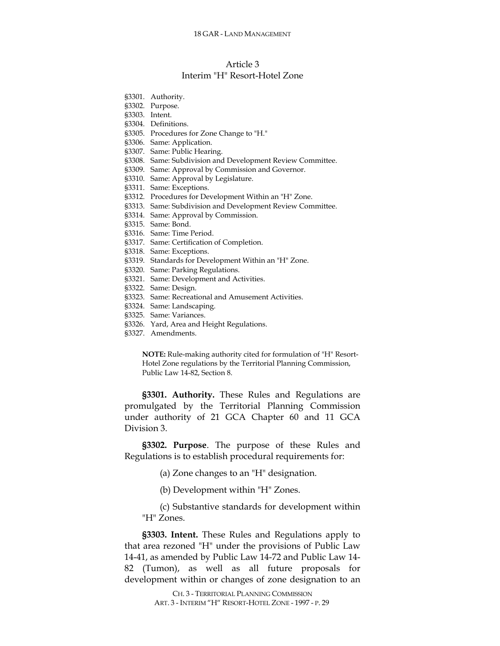## Article 3 Interim "H" Resort-Hotel Zone

- §3302. Purpose. §3303. Intent. §3304. Definitions. §3305. Procedures for Zone Change to "H." §3306. Same: Application. §3307. Same: Public Hearing. §3308. Same: Subdivision and Development Review Committee. §3309. Same: Approval by Commission and Governor. §3310. Same: Approval by Legislature. §3311. Same: Exceptions. §3312. Procedures for Development Within an "H" Zone. §3313. Same: Subdivision and Development Review Committee. §3314. Same: Approval by Commission. §3315. Same: Bond. §3316. Same: Time Period. §3317. Same: Certification of Completion. §3318. Same: Exceptions. §3319. Standards for Development Within an "H" Zone.
- §3320. Same: Parking Regulations.
- §3321. Same: Development and Activities.
- §3322. Same: Design.

§3301. Authority.

- §3323. Same: Recreational and Amusement Activities.
- §3324. Same: Landscaping.
- §3325. Same: Variances.
- §3326. Yard, Area and Height Regulations.
- §3327. Amendments.

**NOTE:** Rule-making authority cited for formulation of "H" Resort-Hotel Zone regulations by the Territorial Planning Commission, Public Law 14-82, Section 8.

**§3301. Authority.** These Rules and Regulations are promulgated by the Territorial Planning Commission under authority of 21 GCA Chapter 60 and 11 GCA Division 3.

**§3302. Purpose**. The purpose of these Rules and Regulations is to establish procedural requirements for:

(a) Zone changes to an "H" designation.

(b) Development within "H" Zones.

(c) Substantive standards for development within "H" Zones.

**§3303. Intent.** These Rules and Regulations apply to that area rezoned "H" under the provisions of Public Law 14-41, as amended by Public Law 14-72 and Public Law 14- 82 (Tumon), as well as all future proposals for development within or changes of zone designation to an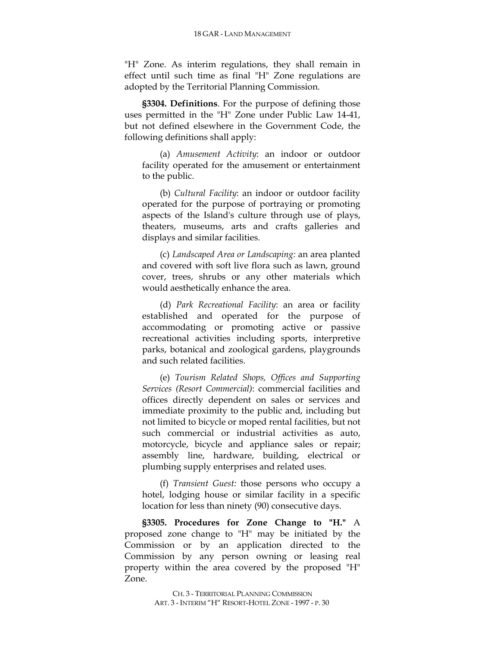"H" Zone. As interim regulations, they shall remain in effect until such time as final "H" Zone regulations are adopted by the Territorial Planning Commission.

**§3304. Definitions**. For the purpose of defining those uses permitted in the "H" Zone under Public Law 14-41, but not defined elsewhere in the Government Code, the following definitions shall apply:

(a) *Amusement Activity*: an indoor or outdoor facility operated for the amusement or entertainment to the public.

(b) *Cultural Facility*: an indoor or outdoor facility operated for the purpose of portraying or promoting aspects of the Island's culture through use of plays, theaters, museums, arts and crafts galleries and displays and similar facilities.

(c) *Landscaped Area or Landscaping:* an area planted and covered with soft live flora such as lawn, ground cover, trees, shrubs or any other materials which would aesthetically enhance the area.

(d) *Park Recreational Facility*: an area or facility established and operated for the purpose of accommodating or promoting active or passive recreational activities including sports, interpretive parks, botanical and zoological gardens, playgrounds and such related facilities.

(e) *Tourism Related Shops, Offices and Supporting Services (Resort Commercial)*: commercial facilities and offices directly dependent on sales or services and immediate proximity to the public and, including but not limited to bicycle or moped rental facilities, but not such commercial or industrial activities as auto, motorcycle, bicycle and appliance sales or repair; assembly line, hardware, building, electrical or plumbing supply enterprises and related uses.

(f) *Transient Guest:* those persons who occupy a hotel, lodging house or similar facility in a specific location for less than ninety (90) consecutive days.

**§3305. Procedures for Zone Change to "H."** A proposed zone change to "H" may be initiated by the Commission or by an application directed to the Commission by any person owning or leasing real property within the area covered by the proposed "H" Zone.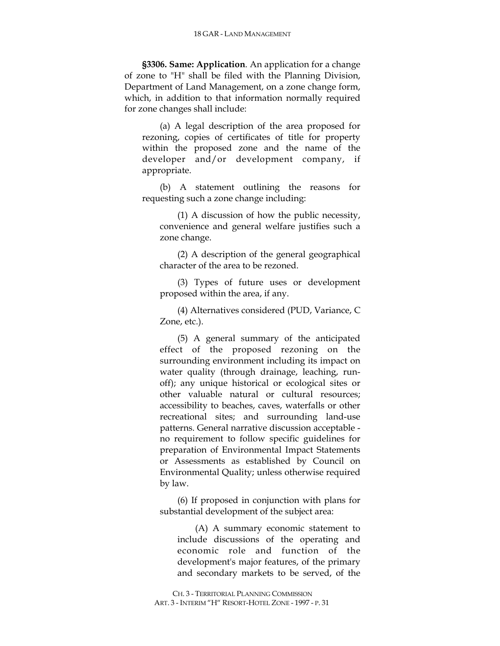**§3306. Same: Application**. An application for a change of zone to "H" shall be filed with the Planning Division, Department of Land Management, on a zone change form, which, in addition to that information normally required for zone changes shall include:

(a) A legal description of the area proposed for rezoning, copies of certificates of title for property within the proposed zone and the name of the developer and/or development company, if appropriate.

(b) A statement outlining the reasons for requesting such a zone change including:

(1) A discussion of how the public necessity, convenience and general welfare justifies such a zone change.

(2) A description of the general geographical character of the area to be rezoned.

(3) Types of future uses or development proposed within the area, if any.

(4) Alternatives considered (PUD, Variance, C Zone, etc.).

(5) A general summary of the anticipated effect of the proposed rezoning on the surrounding environment including its impact on water quality (through drainage, leaching, runoff); any unique historical or ecological sites or other valuable natural or cultural resources; accessibility to beaches, caves, waterfalls or other recreational sites; and surrounding land-use patterns. General narrative discussion acceptable no requirement to follow specific guidelines for preparation of Environmental Impact Statements or Assessments as established by Council on Environmental Quality; unless otherwise required by law.

(6) If proposed in conjunction with plans for substantial development of the subject area:

(A) A summary economic statement to include discussions of the operating and economic role and function of the development's major features, of the primary and secondary markets to be served, of the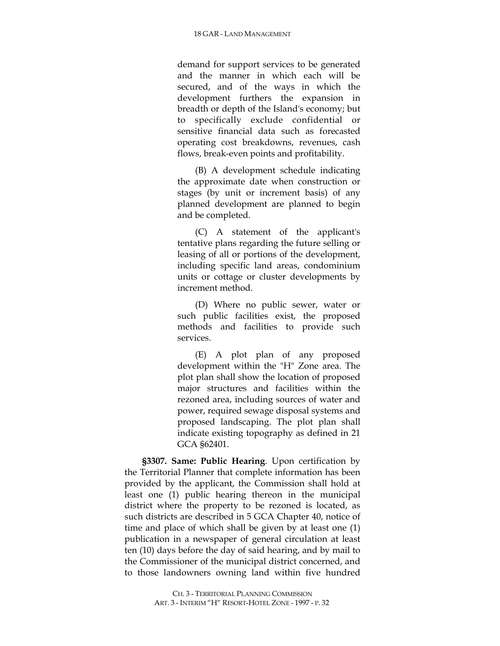demand for support services to be generated and the manner in which each will be secured, and of the ways in which the development furthers the expansion in breadth or depth of the Island's economy; but to specifically exclude confidential or sensitive financial data such as forecasted operating cost breakdowns, revenues, cash flows, break-even points and profitability.

(B) A development schedule indicating the approximate date when construction or stages (by unit or increment basis) of any planned development are planned to begin and be completed.

(C) A statement of the applicant's tentative plans regarding the future selling or leasing of all or portions of the development, including specific land areas, condominium units or cottage or cluster developments by increment method.

(D) Where no public sewer, water or such public facilities exist, the proposed methods and facilities to provide such services.

(E) A plot plan of any proposed development within the "H" Zone area. The plot plan shall show the location of proposed major structures and facilities within the rezoned area, including sources of water and power, required sewage disposal systems and proposed landscaping. The plot plan shall indicate existing topography as defined in 21 GCA §62401.

**§3307. Same: Public Hearing**. Upon certification by the Territorial Planner that complete information has been provided by the applicant, the Commission shall hold at least one (1) public hearing thereon in the municipal district where the property to be rezoned is located, as such districts are described in 5 GCA Chapter 40, notice of time and place of which shall be given by at least one (1) publication in a newspaper of general circulation at least ten (10) days before the day of said hearing, and by mail to the Commissioner of the municipal district concerned, and to those landowners owning land within five hundred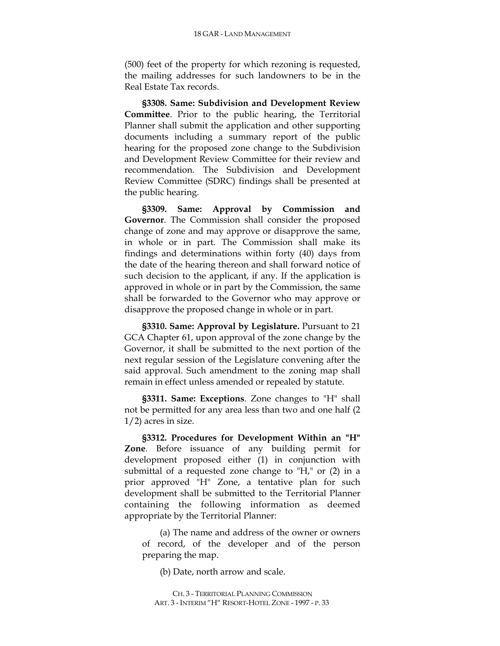(500) feet of the property for which rezoning is requested, the mailing addresses for such landowners to be in the Real Estate Tax records.

**§3308. Same: Subdivision and Development Review Committee**. Prior to the public hearing, the Territorial Planner shall submit the application and other supporting documents including a summary report of the public hearing for the proposed zone change to the Subdivision and Development Review Committee for their review and recommendation. The Subdivision and Development Review Committee (SDRC) findings shall be presented at the public hearing.

**§3309. Same: Approval by Commission and Governor**. The Commission shall consider the proposed change of zone and may approve or disapprove the same, in whole or in part. The Commission shall make its findings and determinations within forty (40) days from the date of the hearing thereon and shall forward notice of such decision to the applicant, if any. If the application is approved in whole or in part by the Commission, the same shall be forwarded to the Governor who may approve or disapprove the proposed change in whole or in part.

**§3310. Same: Approval by Legislature.** Pursuant to 21 GCA Chapter 61, upon approval of the zone change by the Governor, it shall be submitted to the next portion of the next regular session of the Legislature convening after the said approval. Such amendment to the zoning map shall remain in effect unless amended or repealed by statute.

**§3311. Same: Exceptions**. Zone changes to "H" shall not be permitted for any area less than two and one half (2 1/2) acres in size.

**§3312. Procedures for Development Within an "H" Zone**. Before issuance of any building permit for development proposed either (1) in conjunction with submittal of a requested zone change to "H," or (2) in a prior approved "H" Zone, a tentative plan for such development shall be submitted to the Territorial Planner containing the following information as deemed appropriate by the Territorial Planner:

(a) The name and address of the owner or owners of record, of the developer and of the person preparing the map.

(b) Date, north arrow and scale.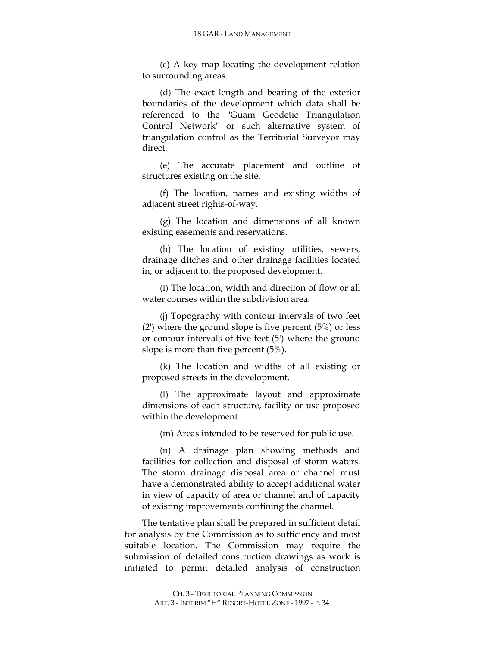(c) A key map locating the development relation to surrounding areas.

(d) The exact length and bearing of the exterior boundaries of the development which data shall be referenced to the "Guam Geodetic Triangulation Control Network" or such alternative system of triangulation control as the Territorial Surveyor may direct.

(e) The accurate placement and outline of structures existing on the site.

(f) The location, names and existing widths of adjacent street rights-of-way.

(g) The location and dimensions of all known existing easements and reservations.

(h) The location of existing utilities, sewers, drainage ditches and other drainage facilities located in, or adjacent to, the proposed development.

(i) The location, width and direction of flow or all water courses within the subdivision area.

(j) Topography with contour intervals of two feet (2') where the ground slope is five percent (5%) or less or contour intervals of five feet (5') where the ground slope is more than five percent (5%).

(k) The location and widths of all existing or proposed streets in the development.

(l) The approximate layout and approximate dimensions of each structure, facility or use proposed within the development.

(m) Areas intended to be reserved for public use.

(n) A drainage plan showing methods and facilities for collection and disposal of storm waters. The storm drainage disposal area or channel must have a demonstrated ability to accept additional water in view of capacity of area or channel and of capacity of existing improvements confining the channel.

The tentative plan shall be prepared in sufficient detail for analysis by the Commission as to sufficiency and most suitable location. The Commission may require the submission of detailed construction drawings as work is initiated to permit detailed analysis of construction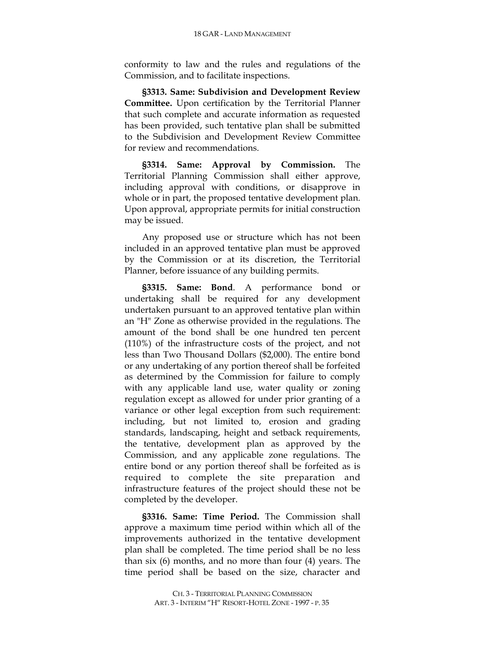conformity to law and the rules and regulations of the Commission, and to facilitate inspections.

**§3313. Same: Subdivision and Development Review Committee.** Upon certification by the Territorial Planner that such complete and accurate information as requested has been provided, such tentative plan shall be submitted to the Subdivision and Development Review Committee for review and recommendations.

**§3314. Same: Approval by Commission.** The Territorial Planning Commission shall either approve, including approval with conditions, or disapprove in whole or in part, the proposed tentative development plan. Upon approval, appropriate permits for initial construction may be issued.

Any proposed use or structure which has not been included in an approved tentative plan must be approved by the Commission or at its discretion, the Territorial Planner, before issuance of any building permits.

**§3315. Same: Bond**. A performance bond or undertaking shall be required for any development undertaken pursuant to an approved tentative plan within an "H" Zone as otherwise provided in the regulations. The amount of the bond shall be one hundred ten percent (110%) of the infrastructure costs of the project, and not less than Two Thousand Dollars (\$2,000). The entire bond or any undertaking of any portion thereof shall be forfeited as determined by the Commission for failure to comply with any applicable land use, water quality or zoning regulation except as allowed for under prior granting of a variance or other legal exception from such requirement: including, but not limited to, erosion and grading standards, landscaping, height and setback requirements, the tentative, development plan as approved by the Commission, and any applicable zone regulations. The entire bond or any portion thereof shall be forfeited as is required to complete the site preparation and infrastructure features of the project should these not be completed by the developer.

**§3316. Same: Time Period.** The Commission shall approve a maximum time period within which all of the improvements authorized in the tentative development plan shall be completed. The time period shall be no less than six (6) months, and no more than four (4) years. The time period shall be based on the size, character and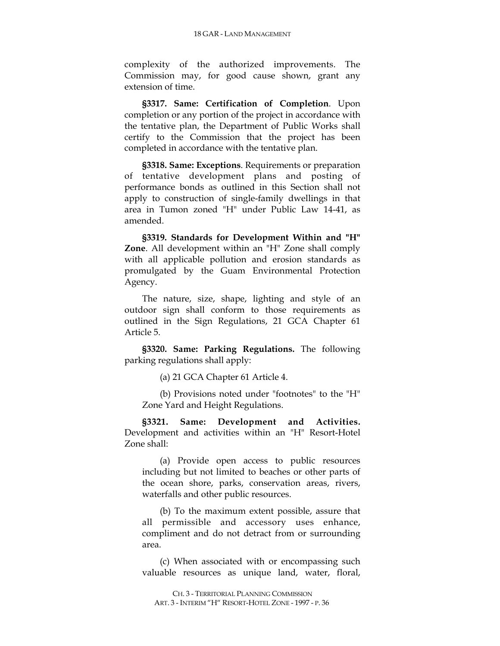complexity of the authorized improvements. The Commission may, for good cause shown, grant any extension of time.

**§3317. Same: Certification of Completion**. Upon completion or any portion of the project in accordance with the tentative plan, the Department of Public Works shall certify to the Commission that the project has been completed in accordance with the tentative plan.

**§3318. Same: Exceptions**. Requirements or preparation of tentative development plans and posting of performance bonds as outlined in this Section shall not apply to construction of single-family dwellings in that area in Tumon zoned "H" under Public Law 14-41, as amended.

**§3319. Standards for Development Within and "H" Zone**. All development within an "H" Zone shall comply with all applicable pollution and erosion standards as promulgated by the Guam Environmental Protection Agency.

The nature, size, shape, lighting and style of an outdoor sign shall conform to those requirements as outlined in the Sign Regulations, 21 GCA Chapter 61 Article 5.

**§3320. Same: Parking Regulations.** The following parking regulations shall apply:

(a) 21 GCA Chapter 61 Article 4.

(b) Provisions noted under "footnotes" to the "H" Zone Yard and Height Regulations.

**§3321. Same: Development and Activities.** Development and activities within an "H" Resort-Hotel Zone shall:

(a) Provide open access to public resources including but not limited to beaches or other parts of the ocean shore, parks, conservation areas, rivers, waterfalls and other public resources.

(b) To the maximum extent possible, assure that all permissible and accessory uses enhance, compliment and do not detract from or surrounding area.

(c) When associated with or encompassing such valuable resources as unique land, water, floral,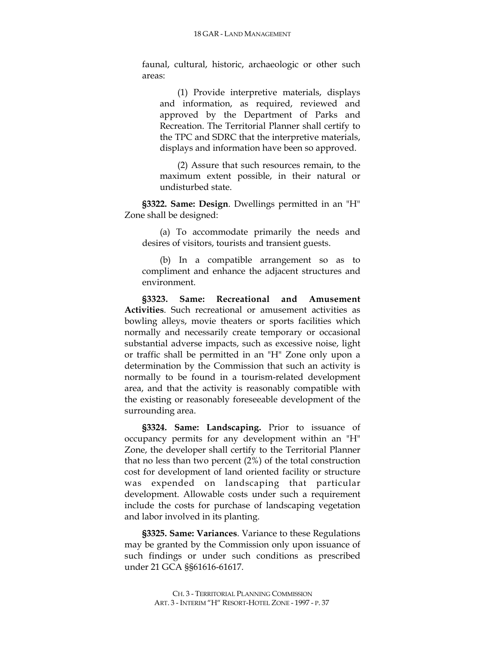faunal, cultural, historic, archaeologic or other such areas:

(1) Provide interpretive materials, displays and information, as required, reviewed and approved by the Department of Parks and Recreation. The Territorial Planner shall certify to the TPC and SDRC that the interpretive materials, displays and information have been so approved.

(2) Assure that such resources remain, to the maximum extent possible, in their natural or undisturbed state.

**§3322. Same: Design**. Dwellings permitted in an "H" Zone shall be designed:

(a) To accommodate primarily the needs and desires of visitors, tourists and transient guests.

(b) In a compatible arrangement so as to compliment and enhance the adjacent structures and environment.

**§3323. Same: Recreational and Amusement Activities**. Such recreational or amusement activities as bowling alleys, movie theaters or sports facilities which normally and necessarily create temporary or occasional substantial adverse impacts, such as excessive noise, light or traffic shall be permitted in an "H" Zone only upon a determination by the Commission that such an activity is normally to be found in a tourism-related development area, and that the activity is reasonably compatible with the existing or reasonably foreseeable development of the surrounding area.

**§3324. Same: Landscaping.** Prior to issuance of occupancy permits for any development within an "H" Zone, the developer shall certify to the Territorial Planner that no less than two percent (2%) of the total construction cost for development of land oriented facility or structure was expended on landscaping that particular development. Allowable costs under such a requirement include the costs for purchase of landscaping vegetation and labor involved in its planting.

**§3325. Same: Variances**. Variance to these Regulations may be granted by the Commission only upon issuance of such findings or under such conditions as prescribed under 21 GCA §§61616-61617.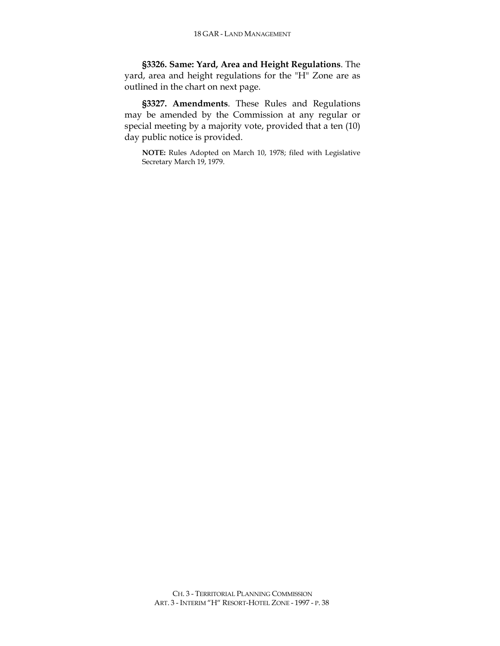**§3326. Same: Yard, Area and Height Regulations**. The yard, area and height regulations for the "H" Zone are as outlined in the chart on next page.

**§3327. Amendments**. These Rules and Regulations may be amended by the Commission at any regular or special meeting by a majority vote, provided that a ten (10) day public notice is provided.

**NOTE:** Rules Adopted on March 10, 1978; filed with Legislative Secretary March 19, 1979.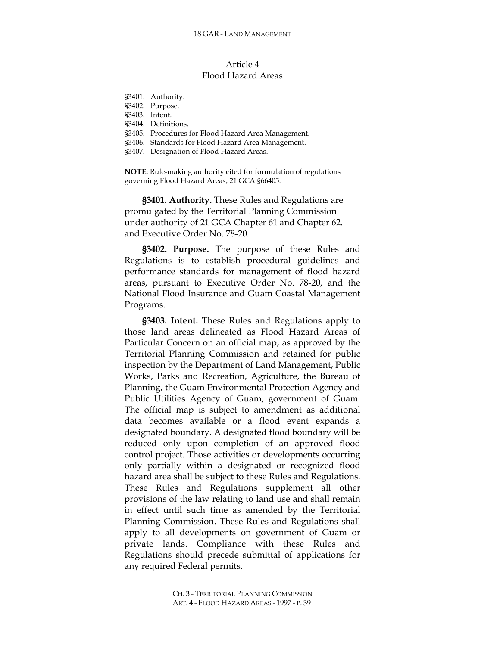# Article 4 Flood Hazard Areas

| §3401. Authority.                                   |
|-----------------------------------------------------|
| §3402. Purpose.                                     |
| §3403. Intent.                                      |
| §3404. Definitions.                                 |
| §3405. Procedures for Flood Hazard Area Management. |
| §3406. Standards for Flood Hazard Area Management.  |
| §3407. Designation of Flood Hazard Areas.           |

**NOTE:** Rule-making authority cited for formulation of regulations governing Flood Hazard Areas, 21 GCA §66405.

**§3401. Authority.** These Rules and Regulations are promulgated by the Territorial Planning Commission under authority of 21 GCA Chapter 61 and Chapter 62. and Executive Order No. 78-20.

**§3402. Purpose.** The purpose of these Rules and Regulations is to establish procedural guidelines and performance standards for management of flood hazard areas, pursuant to Executive Order No. 78-20, and the National Flood Insurance and Guam Coastal Management Programs.

**§3403. Intent.** These Rules and Regulations apply to those land areas delineated as Flood Hazard Areas of Particular Concern on an official map, as approved by the Territorial Planning Commission and retained for public inspection by the Department of Land Management, Public Works, Parks and Recreation, Agriculture, the Bureau of Planning, the Guam Environmental Protection Agency and Public Utilities Agency of Guam, government of Guam. The official map is subject to amendment as additional data becomes available or a flood event expands a designated boundary. A designated flood boundary will be reduced only upon completion of an approved flood control project. Those activities or developments occurring only partially within a designated or recognized flood hazard area shall be subject to these Rules and Regulations. These Rules and Regulations supplement all other provisions of the law relating to land use and shall remain in effect until such time as amended by the Territorial Planning Commission. These Rules and Regulations shall apply to all developments on government of Guam or private lands. Compliance with these Rules and Regulations should precede submittal of applications for any required Federal permits.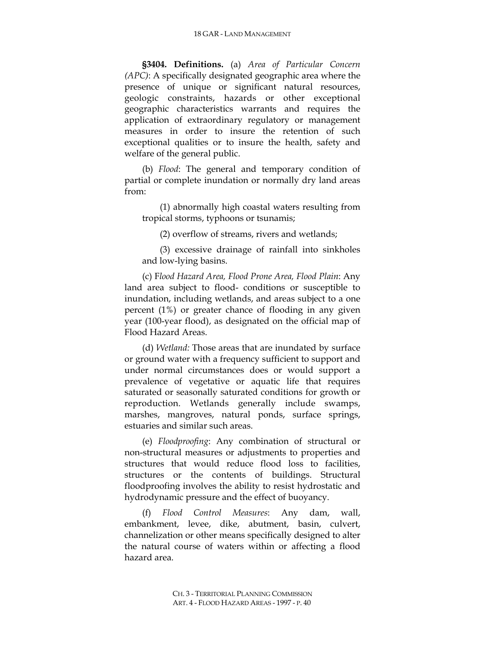**§3404. Definitions.** (a) *Area of Particular Concern (APC)*: A specifically designated geographic area where the presence of unique or significant natural resources, geologic constraints, hazards or other exceptional geographic characteristics warrants and requires the application of extraordinary regulatory or management measures in order to insure the retention of such exceptional qualities or to insure the health, safety and welfare of the general public.

(b) *Flood*: The general and temporary condition of partial or complete inundation or normally dry land areas from:

(1) abnormally high coastal waters resulting from tropical storms, typhoons or tsunamis;

(2) overflow of streams, rivers and wetlands;

(3) excessive drainage of rainfall into sinkholes and low-lying basins.

(c) F*lood Hazard Area, Flood Prone Area, Flood Plain*: Any land area subject to flood- conditions or susceptible to inundation, including wetlands, and areas subject to a one percent (1%) or greater chance of flooding in any given year (100-year flood), as designated on the official map of Flood Hazard Areas.

(d) *Wetland:* Those areas that are inundated by surface or ground water with a frequency sufficient to support and under normal circumstances does or would support a prevalence of vegetative or aquatic life that requires saturated or seasonally saturated conditions for growth or reproduction. Wetlands generally include swamps, marshes, mangroves, natural ponds, surface springs, estuaries and similar such areas.

(e) *Floodproofing*: Any combination of structural or non-structural measures or adjustments to properties and structures that would reduce flood loss to facilities, structures or the contents of buildings. Structural floodproofing involves the ability to resist hydrostatic and hydrodynamic pressure and the effect of buoyancy.

(f) *Flood Control Measures*: Any dam, wall, embankment, levee, dike, abutment, basin, culvert, channelization or other means specifically designed to alter the natural course of waters within or affecting a flood hazard area.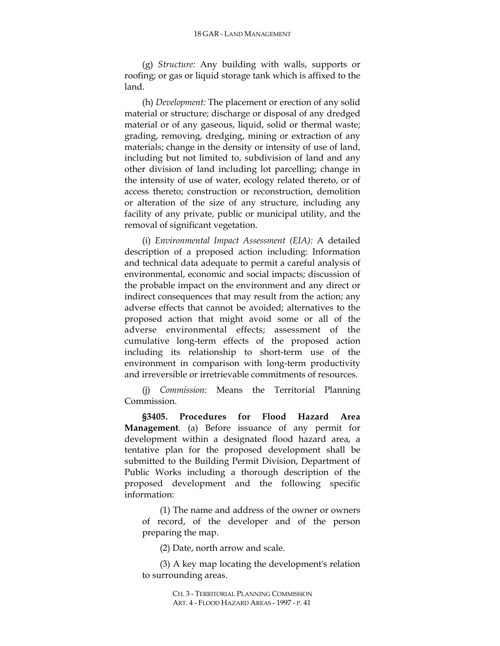(g) *Structure:* Any building with walls, supports or roofing; or gas or liquid storage tank which is affixed to the land.

(h) *Development:* The placement or erection of any solid material or structure; discharge or disposal of any dredged material or of any gaseous, liquid, solid or thermal waste; grading, removing, dredging, mining or extraction of any materials; change in the density or intensity of use of land, including but not limited to, subdivision of land and any other division of land including lot parcelling; change in the intensity of use of water, ecology related thereto, or of access thereto; construction or reconstruction, demolition or alteration of the size of any structure, including any facility of any private, public or municipal utility, and the removal of significant vegetation.

(i) *Environmental Impact Assessment (EIA):* A detailed description of a proposed action including: Information and technical data adequate to permit a careful analysis of environmental, economic and social impacts; discussion of the probable impact on the environment and any direct or indirect consequences that may result from the action; any adverse effects that cannot be avoided; alternatives to the proposed action that might avoid some or all of the adverse environmental effects; assessment of the cumulative long-term effects of the proposed action including its relationship to short-term use of the environment in comparison with long-term productivity and irreversible or irretrievable commitments of resources.

(j) *Commission*: Means the Territorial Planning Commission.

**§3405. Procedures for Flood Hazard Area Management**. (a) Before issuance of any permit for development within a designated flood hazard area, a tentative plan for the proposed development shall be submitted to the Building Permit Division, Department of Public Works including a thorough description of the proposed development and the following specific information:

(1) The name and address of the owner or owners of record, of the developer and of the person preparing the map.

(2) Date, north arrow and scale.

(3) A key map locating the development's relation to surrounding areas.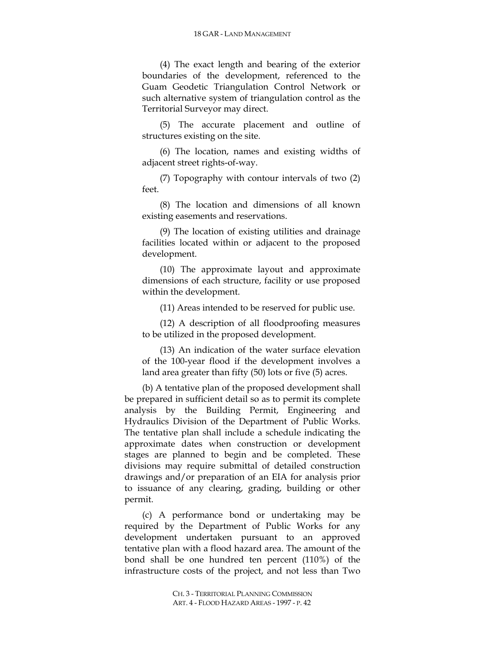(4) The exact length and bearing of the exterior boundaries of the development, referenced to the Guam Geodetic Triangulation Control Network or such alternative system of triangulation control as the Territorial Surveyor may direct.

(5) The accurate placement and outline of structures existing on the site.

(6) The location, names and existing widths of adjacent street rights-of-way.

(7) Topography with contour intervals of two (2) feet.

(8) The location and dimensions of all known existing easements and reservations.

(9) The location of existing utilities and drainage facilities located within or adjacent to the proposed development.

(10) The approximate layout and approximate dimensions of each structure, facility or use proposed within the development.

(11) Areas intended to be reserved for public use.

(12) A description of all floodproofing measures to be utilized in the proposed development.

(13) An indication of the water surface elevation of the 100-year flood if the development involves a land area greater than fifty (50) lots or five (5) acres.

(b) A tentative plan of the proposed development shall be prepared in sufficient detail so as to permit its complete analysis by the Building Permit, Engineering and Hydraulics Division of the Department of Public Works. The tentative plan shall include a schedule indicating the approximate dates when construction or development stages are planned to begin and be completed. These divisions may require submittal of detailed construction drawings and/or preparation of an EIA for analysis prior to issuance of any clearing, grading, building or other permit.

(c) A performance bond or undertaking may be required by the Department of Public Works for any development undertaken pursuant to an approved tentative plan with a flood hazard area. The amount of the bond shall be one hundred ten percent (110%) of the infrastructure costs of the project, and not less than Two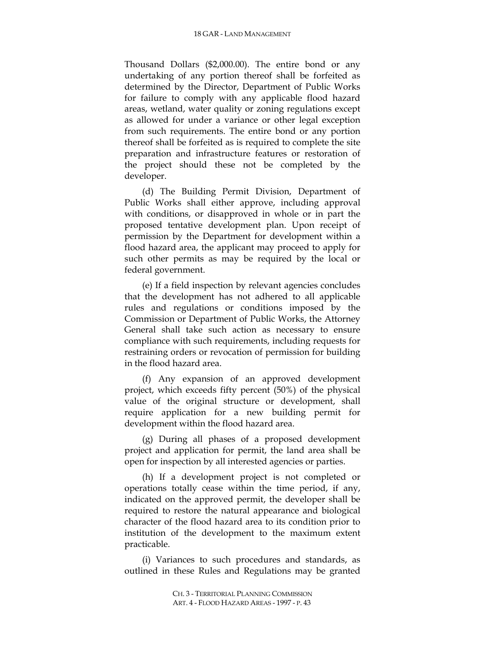Thousand Dollars (\$2,000.00). The entire bond or any undertaking of any portion thereof shall be forfeited as determined by the Director, Department of Public Works for failure to comply with any applicable flood hazard areas, wetland, water quality or zoning regulations except as allowed for under a variance or other legal exception from such requirements. The entire bond or any portion thereof shall be forfeited as is required to complete the site preparation and infrastructure features or restoration of the project should these not be completed by the developer.

(d) The Building Permit Division, Department of Public Works shall either approve, including approval with conditions, or disapproved in whole or in part the proposed tentative development plan. Upon receipt of permission by the Department for development within a flood hazard area, the applicant may proceed to apply for such other permits as may be required by the local or federal government.

(e) If a field inspection by relevant agencies concludes that the development has not adhered to all applicable rules and regulations or conditions imposed by the Commission or Department of Public Works, the Attorney General shall take such action as necessary to ensure compliance with such requirements, including requests for restraining orders or revocation of permission for building in the flood hazard area.

(f) Any expansion of an approved development project, which exceeds fifty percent (50%) of the physical value of the original structure or development, shall require application for a new building permit for development within the flood hazard area.

(g) During all phases of a proposed development project and application for permit, the land area shall be open for inspection by all interested agencies or parties.

(h) If a development project is not completed or operations totally cease within the time period, if any, indicated on the approved permit, the developer shall be required to restore the natural appearance and biological character of the flood hazard area to its condition prior to institution of the development to the maximum extent practicable.

(i) Variances to such procedures and standards, as outlined in these Rules and Regulations may be granted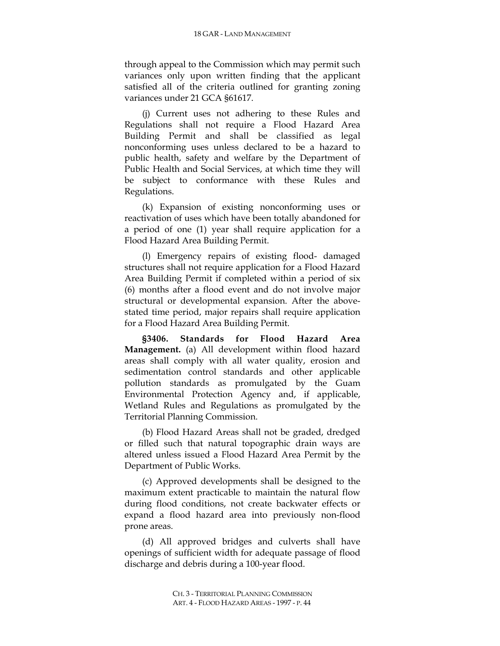through appeal to the Commission which may permit such variances only upon written finding that the applicant satisfied all of the criteria outlined for granting zoning variances under 21 GCA §61617.

(j) Current uses not adhering to these Rules and Regulations shall not require a Flood Hazard Area Building Permit and shall be classified as legal nonconforming uses unless declared to be a hazard to public health, safety and welfare by the Department of Public Health and Social Services, at which time they will be subject to conformance with these Rules and Regulations.

(k) Expansion of existing nonconforming uses or reactivation of uses which have been totally abandoned for a period of one (1) year shall require application for a Flood Hazard Area Building Permit.

(l) Emergency repairs of existing flood- damaged structures shall not require application for a Flood Hazard Area Building Permit if completed within a period of six (6) months after a flood event and do not involve major structural or developmental expansion. After the abovestated time period, major repairs shall require application for a Flood Hazard Area Building Permit.

**§3406. Standards for Flood Hazard Area Management.** (a) All development within flood hazard areas shall comply with all water quality, erosion and sedimentation control standards and other applicable pollution standards as promulgated by the Guam Environmental Protection Agency and, if applicable, Wetland Rules and Regulations as promulgated by the Territorial Planning Commission.

(b) Flood Hazard Areas shall not be graded, dredged or filled such that natural topographic drain ways are altered unless issued a Flood Hazard Area Permit by the Department of Public Works.

(c) Approved developments shall be designed to the maximum extent practicable to maintain the natural flow during flood conditions, not create backwater effects or expand a flood hazard area into previously non-flood prone areas.

(d) All approved bridges and culverts shall have openings of sufficient width for adequate passage of flood discharge and debris during a 100-year flood.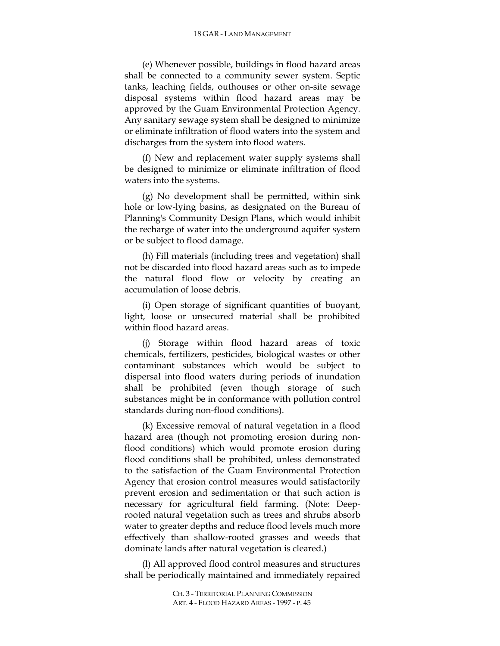#### 18 GAR - LAND MANAGEMENT

(e) Whenever possible, buildings in flood hazard areas shall be connected to a community sewer system. Septic tanks, leaching fields, outhouses or other on-site sewage disposal systems within flood hazard areas may be approved by the Guam Environmental Protection Agency. Any sanitary sewage system shall be designed to minimize or eliminate infiltration of flood waters into the system and discharges from the system into flood waters.

(f) New and replacement water supply systems shall be designed to minimize or eliminate infiltration of flood waters into the systems.

(g) No development shall be permitted, within sink hole or low-lying basins, as designated on the Bureau of Planning's Community Design Plans, which would inhibit the recharge of water into the underground aquifer system or be subject to flood damage.

(h) Fill materials (including trees and vegetation) shall not be discarded into flood hazard areas such as to impede the natural flood flow or velocity by creating an accumulation of loose debris.

(i) Open storage of significant quantities of buoyant, light, loose or unsecured material shall be prohibited within flood hazard areas.

(j) Storage within flood hazard areas of toxic chemicals, fertilizers, pesticides, biological wastes or other contaminant substances which would be subject to dispersal into flood waters during periods of inundation shall be prohibited (even though storage of such substances might be in conformance with pollution control standards during non-flood conditions).

(k) Excessive removal of natural vegetation in a flood hazard area (though not promoting erosion during nonflood conditions) which would promote erosion during flood conditions shall be prohibited, unless demonstrated to the satisfaction of the Guam Environmental Protection Agency that erosion control measures would satisfactorily prevent erosion and sedimentation or that such action is necessary for agricultural field farming. (Note: Deeprooted natural vegetation such as trees and shrubs absorb water to greater depths and reduce flood levels much more effectively than shallow-rooted grasses and weeds that dominate lands after natural vegetation is cleared.)

(l) All approved flood control measures and structures shall be periodically maintained and immediately repaired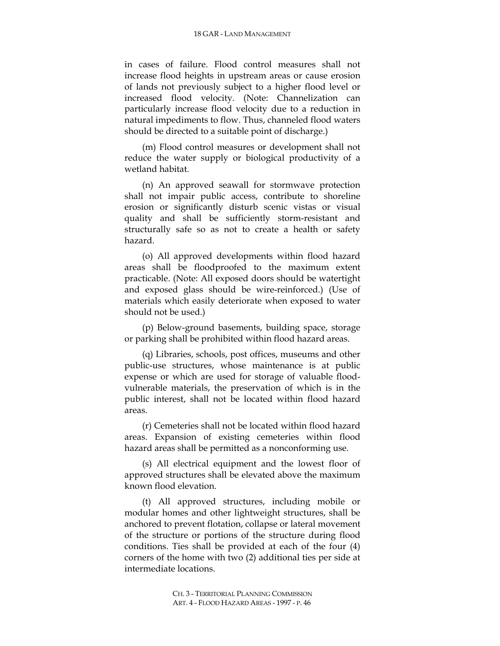in cases of failure. Flood control measures shall not increase flood heights in upstream areas or cause erosion of lands not previously subject to a higher flood level or increased flood velocity. (Note: Channelization can particularly increase flood velocity due to a reduction in natural impediments to flow. Thus, channeled flood waters should be directed to a suitable point of discharge.)

(m) Flood control measures or development shall not reduce the water supply or biological productivity of a wetland habitat.

(n) An approved seawall for stormwave protection shall not impair public access, contribute to shoreline erosion or significantly disturb scenic vistas or visual quality and shall be sufficiently storm-resistant and structurally safe so as not to create a health or safety hazard.

(o) All approved developments within flood hazard areas shall be floodproofed to the maximum extent practicable. (Note: All exposed doors should be watertight and exposed glass should be wire-reinforced.) (Use of materials which easily deteriorate when exposed to water should not be used.)

(p) Below-ground basements, building space, storage or parking shall be prohibited within flood hazard areas.

(q) Libraries, schools, post offices, museums and other public-use structures, whose maintenance is at public expense or which are used for storage of valuable floodvulnerable materials, the preservation of which is in the public interest, shall not be located within flood hazard areas.

(r) Cemeteries shall not be located within flood hazard areas. Expansion of existing cemeteries within flood hazard areas shall be permitted as a nonconforming use.

(s) All electrical equipment and the lowest floor of approved structures shall be elevated above the maximum known flood elevation.

(t) All approved structures, including mobile or modular homes and other lightweight structures, shall be anchored to prevent flotation, collapse or lateral movement of the structure or portions of the structure during flood conditions. Ties shall be provided at each of the four (4) corners of the home with two (2) additional ties per side at intermediate locations.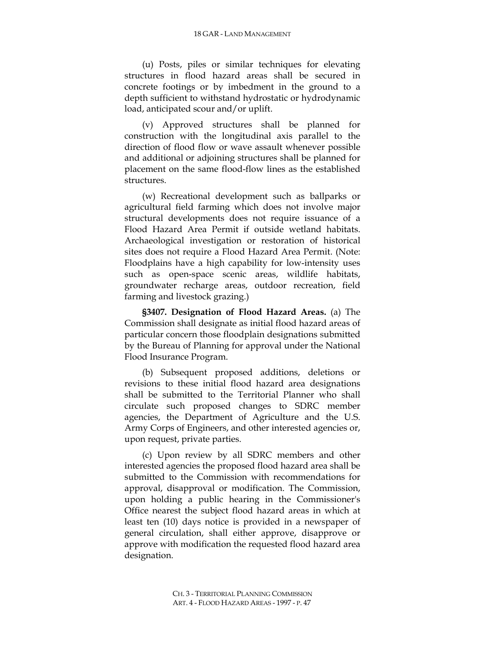(u) Posts, piles or similar techniques for elevating structures in flood hazard areas shall be secured in concrete footings or by imbedment in the ground to a depth sufficient to withstand hydrostatic or hydrodynamic load, anticipated scour and/or uplift.

(v) Approved structures shall be planned for construction with the longitudinal axis parallel to the direction of flood flow or wave assault whenever possible and additional or adjoining structures shall be planned for placement on the same flood-flow lines as the established structures.

(w) Recreational development such as ballparks or agricultural field farming which does not involve major structural developments does not require issuance of a Flood Hazard Area Permit if outside wetland habitats. Archaeological investigation or restoration of historical sites does not require a Flood Hazard Area Permit. (Note: Floodplains have a high capability for low-intensity uses such as open-space scenic areas, wildlife habitats, groundwater recharge areas, outdoor recreation, field farming and livestock grazing.)

**§3407. Designation of Flood Hazard Areas.** (a) The Commission shall designate as initial flood hazard areas of particular concern those floodplain designations submitted by the Bureau of Planning for approval under the National Flood Insurance Program.

(b) Subsequent proposed additions, deletions or revisions to these initial flood hazard area designations shall be submitted to the Territorial Planner who shall circulate such proposed changes to SDRC member agencies, the Department of Agriculture and the U.S. Army Corps of Engineers, and other interested agencies or, upon request, private parties.

(c) Upon review by all SDRC members and other interested agencies the proposed flood hazard area shall be submitted to the Commission with recommendations for approval, disapproval or modification. The Commission, upon holding a public hearing in the Commissioner's Office nearest the subject flood hazard areas in which at least ten (10) days notice is provided in a newspaper of general circulation, shall either approve, disapprove or approve with modification the requested flood hazard area designation.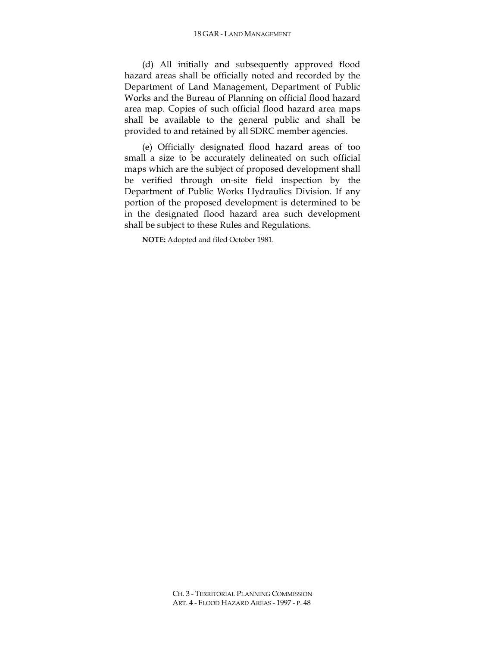### 18 GAR - LAND MANAGEMENT

(d) All initially and subsequently approved flood hazard areas shall be officially noted and recorded by the Department of Land Management, Department of Public Works and the Bureau of Planning on official flood hazard area map. Copies of such official flood hazard area maps shall be available to the general public and shall be provided to and retained by all SDRC member agencies.

(e) Officially designated flood hazard areas of too small a size to be accurately delineated on such official maps which are the subject of proposed development shall be verified through on-site field inspection by the Department of Public Works Hydraulics Division. If any portion of the proposed development is determined to be in the designated flood hazard area such development shall be subject to these Rules and Regulations.

**NOTE:** Adopted and filed October 1981.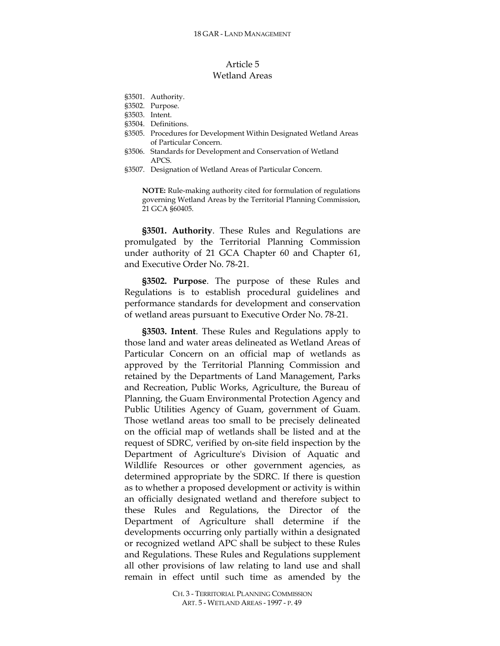# Article 5 Wetland Areas

- §3501. Authority.
- §3502. Purpose.
- §3503. Intent.
- §3504. Definitions.
- §3505. Procedures for Development Within Designated Wetland Areas of Particular Concern.
- §3506. Standards for Development and Conservation of Wetland APCS.
- §3507. Designation of Wetland Areas of Particular Concern.

**NOTE:** Rule-making authority cited for formulation of regulations governing Wetland Areas by the Territorial Planning Commission, 21 GCA §60405.

**§3501. Authority**. These Rules and Regulations are promulgated by the Territorial Planning Commission under authority of 21 GCA Chapter 60 and Chapter 61, and Executive Order No. 78-21.

**§3502. Purpose**. The purpose of these Rules and Regulations is to establish procedural guidelines and performance standards for development and conservation of wetland areas pursuant to Executive Order No. 78-21.

**§3503. Intent**. These Rules and Regulations apply to those land and water areas delineated as Wetland Areas of Particular Concern on an official map of wetlands as approved by the Territorial Planning Commission and retained by the Departments of Land Management, Parks and Recreation, Public Works, Agriculture, the Bureau of Planning, the Guam Environmental Protection Agency and Public Utilities Agency of Guam, government of Guam. Those wetland areas too small to be precisely delineated on the official map of wetlands shall be listed and at the request of SDRC, verified by on-site field inspection by the Department of Agriculture's Division of Aquatic and Wildlife Resources or other government agencies, as determined appropriate by the SDRC. If there is question as to whether a proposed development or activity is within an officially designated wetland and therefore subject to these Rules and Regulations, the Director of the Department of Agriculture shall determine if the developments occurring only partially within a designated or recognized wetland APC shall be subject to these Rules and Regulations. These Rules and Regulations supplement all other provisions of law relating to land use and shall remain in effect until such time as amended by the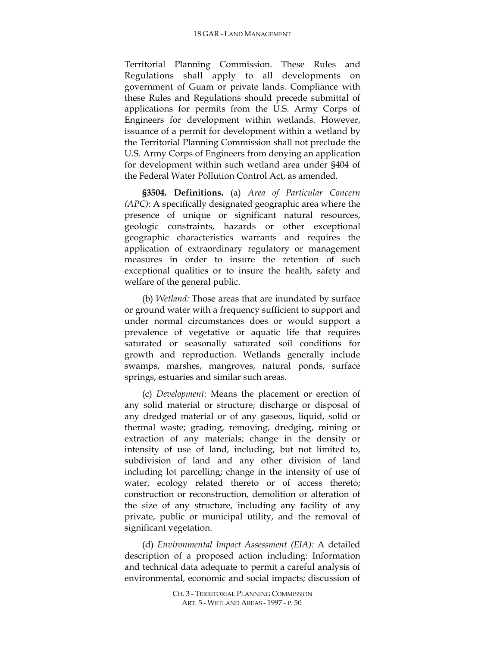Territorial Planning Commission. These Rules and Regulations shall apply to all developments on government of Guam or private lands. Compliance with these Rules and Regulations should precede submittal of applications for permits from the U.S. Army Corps of Engineers for development within wetlands. However, issuance of a permit for development within a wetland by the Territorial Planning Commission shall not preclude the U.S. Army Corps of Engineers from denying an application for development within such wetland area under §404 of the Federal Water Pollution Control Act, as amended.

**§3504. Definitions.** (a) *Area of Particular Concern (APC)*: A specifically designated geographic area where the presence of unique or significant natural resources, geologic constraints, hazards or other exceptional geographic characteristics warrants and requires the application of extraordinary regulatory or management measures in order to insure the retention of such exceptional qualities or to insure the health, safety and welfare of the general public.

(b) *Wetland:* Those areas that are inundated by surface or ground water with a frequency sufficient to support and under normal circumstances does or would support a prevalence of vegetative or aquatic life that requires saturated or seasonally saturated soil conditions for growth and reproduction. Wetlands generally include swamps, marshes, mangroves, natural ponds, surface springs, estuaries and similar such areas.

(c) *Development*: Means the placement or erection of any solid material or structure; discharge or disposal of any dredged material or of any gaseous, liquid, solid or thermal waste; grading, removing, dredging, mining or extraction of any materials; change in the density or intensity of use of land, including, but not limited to, subdivision of land and any other division of land including lot parcelling; change in the intensity of use of water, ecology related thereto or of access thereto; construction or reconstruction, demolition or alteration of the size of any structure, including any facility of any private, public or municipal utility, and the removal of significant vegetation.

(d) *Environmental Impact Assessment (EIA):* A detailed description of a proposed action including: Information and technical data adequate to permit a careful analysis of environmental, economic and social impacts; discussion of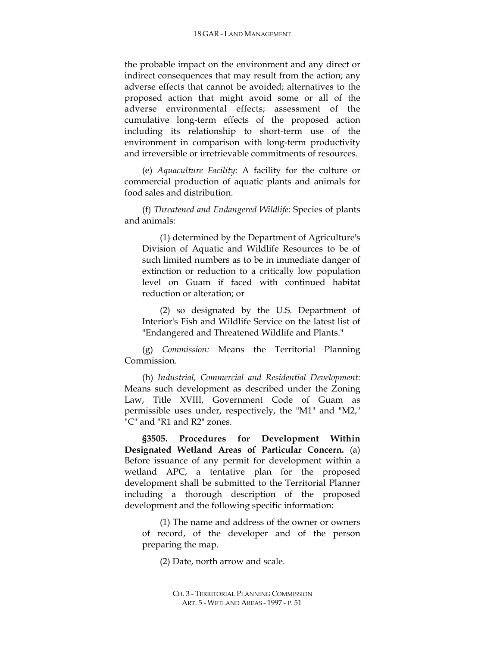the probable impact on the environment and any direct or indirect consequences that may result from the action; any adverse effects that cannot be avoided; alternatives to the proposed action that might avoid some or all of the adverse environmental effects; assessment of the cumulative long-term effects of the proposed action including its relationship to short-term use of the environment in comparison with long-term productivity and irreversible or irretrievable commitments of resources.

(e) *Aquaculture Facility:* A facility for the culture or commercial production of aquatic plants and animals for food sales and distribution.

(f) *Threatened and Endangered Wildlife*: Species of plants and animals:

(1) determined by the Department of Agriculture's Division of Aquatic and Wildlife Resources to be of such limited numbers as to be in immediate danger of extinction or reduction to a critically low population level on Guam if faced with continued habitat reduction or alteration; or

(2) so designated by the U.S. Department of Interior's Fish and Wildlife Service on the latest list of "Endangered and Threatened Wildlife and Plants."

(g) *Commission:* Means the Territorial Planning Commission.

(h) *Industrial, Commercial and Residential Development*: Means such development as described under the Zoning Law, Title XVIII, Government Code of Guam as permissible uses under, respectively, the "M1" and "M2," "C" and "R1 and R2" zones.

**§3505. Procedures for Development Within Designated Wetland Areas of Particular Concern.** (a) Before issuance of any permit for development within a wetland APC, a tentative plan for the proposed development shall be submitted to the Territorial Planner including a thorough description of the proposed development and the following specific information:

(1) The name and address of the owner or owners of record, of the developer and of the person preparing the map.

(2) Date, north arrow and scale.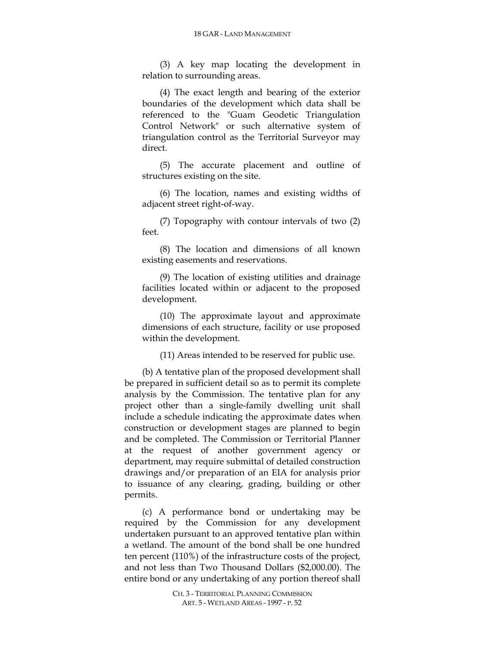(3) A key map locating the development in relation to surrounding areas.

(4) The exact length and bearing of the exterior boundaries of the development which data shall be referenced to the "Guam Geodetic Triangulation Control Network" or such alternative system of triangulation control as the Territorial Surveyor may direct.

(5) The accurate placement and outline of structures existing on the site.

(6) The location, names and existing widths of adjacent street right-of-way.

(7) Topography with contour intervals of two (2) feet.

(8) The location and dimensions of all known existing easements and reservations.

(9) The location of existing utilities and drainage facilities located within or adjacent to the proposed development.

(10) The approximate layout and approximate dimensions of each structure, facility or use proposed within the development.

(11) Areas intended to be reserved for public use.

(b) A tentative plan of the proposed development shall be prepared in sufficient detail so as to permit its complete analysis by the Commission. The tentative plan for any project other than a single-family dwelling unit shall include a schedule indicating the approximate dates when construction or development stages are planned to begin and be completed. The Commission or Territorial Planner at the request of another government agency or department, may require submittal of detailed construction drawings and/or preparation of an EIA for analysis prior to issuance of any clearing, grading, building or other permits.

(c) A performance bond or undertaking may be required by the Commission for any development undertaken pursuant to an approved tentative plan within a wetland. The amount of the bond shall be one hundred ten percent (110%) of the infrastructure costs of the project, and not less than Two Thousand Dollars (\$2,000.00). The entire bond or any undertaking of any portion thereof shall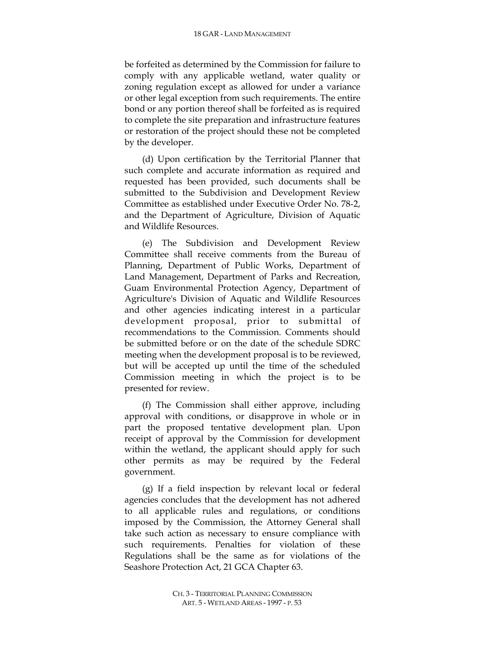be forfeited as determined by the Commission for failure to comply with any applicable wetland, water quality or zoning regulation except as allowed for under a variance or other legal exception from such requirements. The entire bond or any portion thereof shall be forfeited as is required to complete the site preparation and infrastructure features or restoration of the project should these not be completed by the developer.

(d) Upon certification by the Territorial Planner that such complete and accurate information as required and requested has been provided, such documents shall be submitted to the Subdivision and Development Review Committee as established under Executive Order No. 78-2, and the Department of Agriculture, Division of Aquatic and Wildlife Resources.

(e) The Subdivision and Development Review Committee shall receive comments from the Bureau of Planning, Department of Public Works, Department of Land Management, Department of Parks and Recreation, Guam Environmental Protection Agency, Department of Agriculture's Division of Aquatic and Wildlife Resources and other agencies indicating interest in a particular development proposal, prior to submittal of recommendations to the Commission. Comments should be submitted before or on the date of the schedule SDRC meeting when the development proposal is to be reviewed, but will be accepted up until the time of the scheduled Commission meeting in which the project is to be presented for review.

(f) The Commission shall either approve, including approval with conditions, or disapprove in whole or in part the proposed tentative development plan. Upon receipt of approval by the Commission for development within the wetland, the applicant should apply for such other permits as may be required by the Federal government.

(g) If a field inspection by relevant local or federal agencies concludes that the development has not adhered to all applicable rules and regulations, or conditions imposed by the Commission, the Attorney General shall take such action as necessary to ensure compliance with such requirements. Penalties for violation of these Regulations shall be the same as for violations of the Seashore Protection Act, 21 GCA Chapter 63.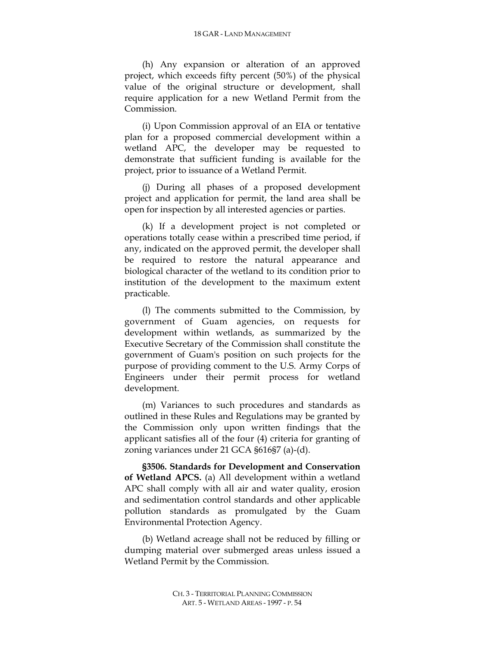(h) Any expansion or alteration of an approved project, which exceeds fifty percent (50%) of the physical value of the original structure or development, shall require application for a new Wetland Permit from the Commission.

(i) Upon Commission approval of an EIA or tentative plan for a proposed commercial development within a wetland APC, the developer may be requested to demonstrate that sufficient funding is available for the project, prior to issuance of a Wetland Permit.

(j) During all phases of a proposed development project and application for permit, the land area shall be open for inspection by all interested agencies or parties.

(k) If a development project is not completed or operations totally cease within a prescribed time period, if any, indicated on the approved permit, the developer shall be required to restore the natural appearance and biological character of the wetland to its condition prior to institution of the development to the maximum extent practicable.

(l) The comments submitted to the Commission, by government of Guam agencies, on requests for development within wetlands, as summarized by the Executive Secretary of the Commission shall constitute the government of Guam's position on such projects for the purpose of providing comment to the U.S. Army Corps of Engineers under their permit process for wetland development.

(m) Variances to such procedures and standards as outlined in these Rules and Regulations may be granted by the Commission only upon written findings that the applicant satisfies all of the four (4) criteria for granting of zoning variances under 21 GCA §616§7 (a)-(d).

**§3506. Standards for Development and Conservation of Wetland APCS.** (a) All development within a wetland APC shall comply with all air and water quality, erosion and sedimentation control standards and other applicable pollution standards as promulgated by the Guam Environmental Protection Agency.

(b) Wetland acreage shall not be reduced by filling or dumping material over submerged areas unless issued a Wetland Permit by the Commission.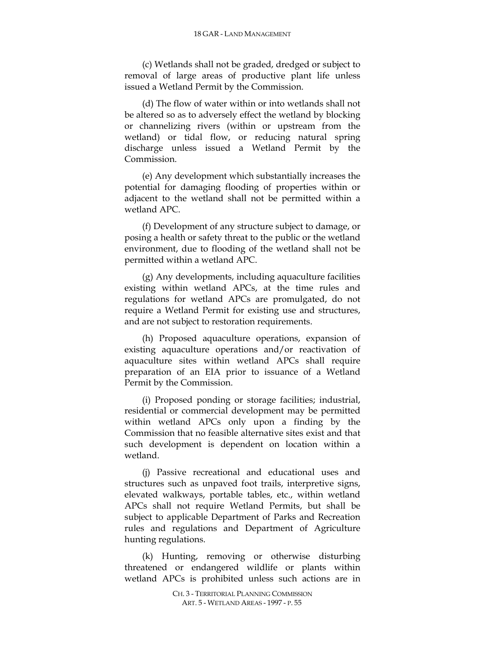(c) Wetlands shall not be graded, dredged or subject to removal of large areas of productive plant life unless issued a Wetland Permit by the Commission.

(d) The flow of water within or into wetlands shall not be altered so as to adversely effect the wetland by blocking or channelizing rivers (within or upstream from the wetland) or tidal flow, or reducing natural spring discharge unless issued a Wetland Permit by the Commission.

(e) Any development which substantially increases the potential for damaging flooding of properties within or adjacent to the wetland shall not be permitted within a wetland APC.

(f) Development of any structure subject to damage, or posing a health or safety threat to the public or the wetland environment, due to flooding of the wetland shall not be permitted within a wetland APC.

(g) Any developments, including aquaculture facilities existing within wetland APCs, at the time rules and regulations for wetland APCs are promulgated, do not require a Wetland Permit for existing use and structures, and are not subject to restoration requirements.

(h) Proposed aquaculture operations, expansion of existing aquaculture operations and/or reactivation of aquaculture sites within wetland APCs shall require preparation of an EIA prior to issuance of a Wetland Permit by the Commission.

(i) Proposed ponding or storage facilities; industrial, residential or commercial development may be permitted within wetland APCs only upon a finding by the Commission that no feasible alternative sites exist and that such development is dependent on location within a wetland.

(j) Passive recreational and educational uses and structures such as unpaved foot trails, interpretive signs, elevated walkways, portable tables, etc., within wetland APCs shall not require Wetland Permits, but shall be subject to applicable Department of Parks and Recreation rules and regulations and Department of Agriculture hunting regulations.

(k) Hunting, removing or otherwise disturbing threatened or endangered wildlife or plants within wetland APCs is prohibited unless such actions are in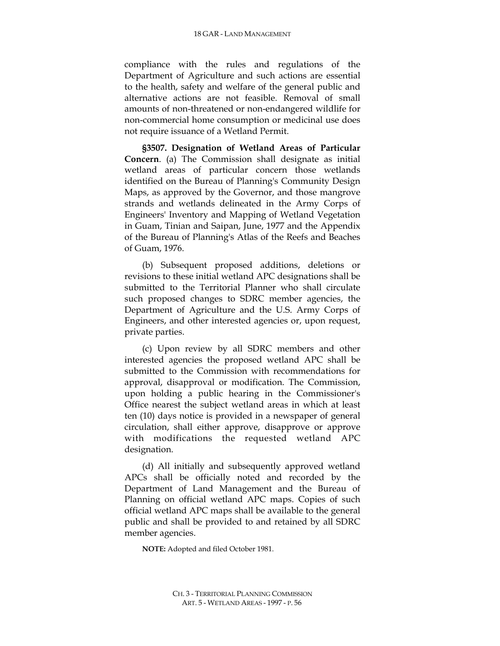compliance with the rules and regulations of the Department of Agriculture and such actions are essential to the health, safety and welfare of the general public and alternative actions are not feasible. Removal of small amounts of non-threatened or non-endangered wildlife for non-commercial home consumption or medicinal use does not require issuance of a Wetland Permit.

**§3507. Designation of Wetland Areas of Particular Concern**. (a) The Commission shall designate as initial wetland areas of particular concern those wetlands identified on the Bureau of Planning's Community Design Maps, as approved by the Governor, and those mangrove strands and wetlands delineated in the Army Corps of Engineers' Inventory and Mapping of Wetland Vegetation in Guam, Tinian and Saipan, June, 1977 and the Appendix of the Bureau of Planning's Atlas of the Reefs and Beaches of Guam, 1976.

(b) Subsequent proposed additions, deletions or revisions to these initial wetland APC designations shall be submitted to the Territorial Planner who shall circulate such proposed changes to SDRC member agencies, the Department of Agriculture and the U.S. Army Corps of Engineers, and other interested agencies or, upon request, private parties.

(c) Upon review by all SDRC members and other interested agencies the proposed wetland APC shall be submitted to the Commission with recommendations for approval, disapproval or modification. The Commission, upon holding a public hearing in the Commissioner's Office nearest the subject wetland areas in which at least ten (10) days notice is provided in a newspaper of general circulation, shall either approve, disapprove or approve with modifications the requested wetland APC designation.

(d) All initially and subsequently approved wetland APCs shall be officially noted and recorded by the Department of Land Management and the Bureau of Planning on official wetland APC maps. Copies of such official wetland APC maps shall be available to the general public and shall be provided to and retained by all SDRC member agencies.

**NOTE:** Adopted and filed October 1981.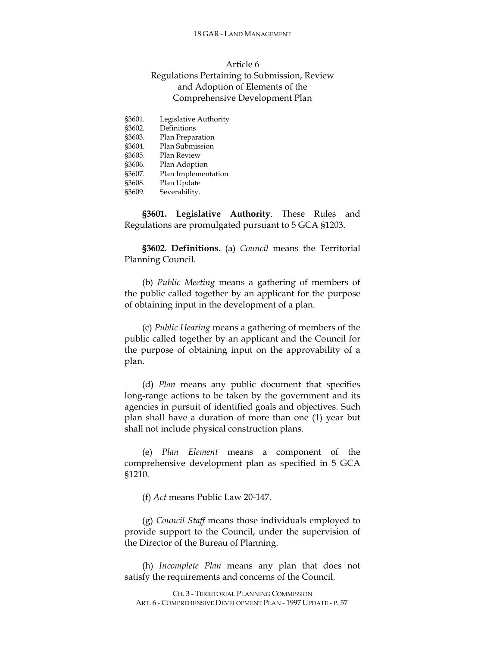#### 18 GAR - LAND MANAGEMENT

# Article 6 Regulations Pertaining to Submission, Review and Adoption of Elements of the Comprehensive Development Plan

| \$3601. | Legislative Authority |
|---------|-----------------------|
| §3602.  | Definitions           |
| §3603.  | Plan Preparation      |
| §3604.  | Plan Submission       |
| §3605.  | <b>Plan Review</b>    |
| §3606.  | Plan Adoption         |
| §3607.  | Plan Implementation   |
| §3608.  | Plan Update           |
| §3609.  | Severability.         |

**§3601. Legislative Authority**. These Rules and Regulations are promulgated pursuant to 5 GCA §1203.

**§3602. Definitions.** (a) *Council* means the Territorial Planning Council.

(b) *Public Meeting* means a gathering of members of the public called together by an applicant for the purpose of obtaining input in the development of a plan.

(c) *Public Hearing* means a gathering of members of the public called together by an applicant and the Council for the purpose of obtaining input on the approvability of a plan.

(d) *Plan* means any public document that specifies long-range actions to be taken by the government and its agencies in pursuit of identified goals and objectives. Such plan shall have a duration of more than one (1) year but shall not include physical construction plans.

(e) *Plan Element* means a component of the comprehensive development plan as specified in 5 GCA §1210.

(f) *Act* means Public Law 20-147.

(g) *Council Staff* means those individuals employed to provide support to the Council, under the supervision of the Director of the Bureau of Planning.

(h) *Incomplete Plan* means any plan that does not satisfy the requirements and concerns of the Council.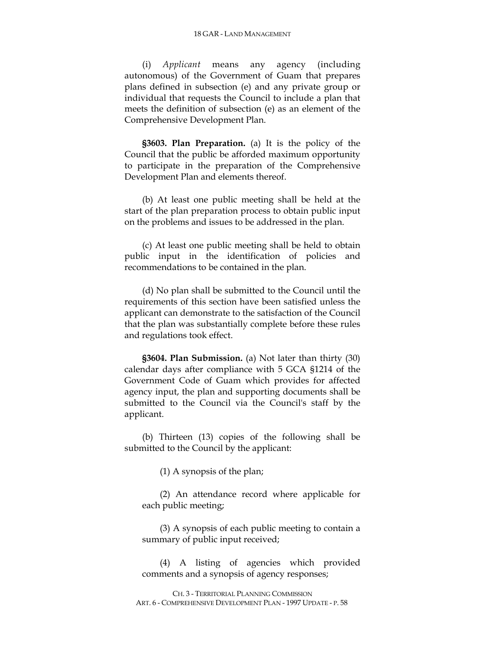#### 18 GAR - LAND MANAGEMENT

(i) *Applicant* means any agency (including autonomous) of the Government of Guam that prepares plans defined in subsection (e) and any private group or individual that requests the Council to include a plan that meets the definition of subsection (e) as an element of the Comprehensive Development Plan.

**§3603. Plan Preparation.** (a) It is the policy of the Council that the public be afforded maximum opportunity to participate in the preparation of the Comprehensive Development Plan and elements thereof.

(b) At least one public meeting shall be held at the start of the plan preparation process to obtain public input on the problems and issues to be addressed in the plan.

(c) At least one public meeting shall be held to obtain public input in the identification of policies and recommendations to be contained in the plan.

(d) No plan shall be submitted to the Council until the requirements of this section have been satisfied unless the applicant can demonstrate to the satisfaction of the Council that the plan was substantially complete before these rules and regulations took effect.

**§3604. Plan Submission.** (a) Not later than thirty (30) calendar days after compliance with 5 GCA §1214 of the Government Code of Guam which provides for affected agency input, the plan and supporting documents shall be submitted to the Council via the Council's staff by the applicant.

(b) Thirteen (13) copies of the following shall be submitted to the Council by the applicant:

(1) A synopsis of the plan;

(2) An attendance record where applicable for each public meeting;

(3) A synopsis of each public meeting to contain a summary of public input received;

(4) A listing of agencies which provided comments and a synopsis of agency responses;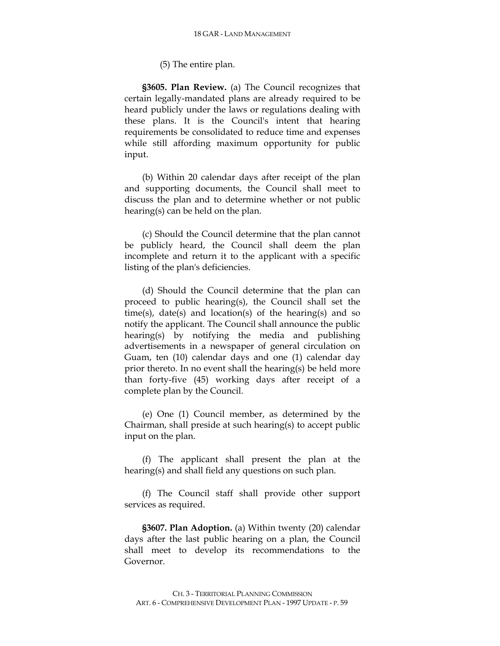(5) The entire plan.

**§3605. Plan Review.** (a) The Council recognizes that certain legally-mandated plans are already required to be heard publicly under the laws or regulations dealing with these plans. It is the Council's intent that hearing requirements be consolidated to reduce time and expenses while still affording maximum opportunity for public input.

(b) Within 20 calendar days after receipt of the plan and supporting documents, the Council shall meet to discuss the plan and to determine whether or not public hearing(s) can be held on the plan.

(c) Should the Council determine that the plan cannot be publicly heard, the Council shall deem the plan incomplete and return it to the applicant with a specific listing of the plan's deficiencies.

(d) Should the Council determine that the plan can proceed to public hearing(s), the Council shall set the time(s), date(s) and location(s) of the hearing(s) and so notify the applicant. The Council shall announce the public hearing(s) by notifying the media and publishing advertisements in a newspaper of general circulation on Guam, ten (10) calendar days and one (1) calendar day prior thereto. In no event shall the hearing(s) be held more than forty-five (45) working days after receipt of a complete plan by the Council.

(e) One (1) Council member, as determined by the Chairman, shall preside at such hearing(s) to accept public input on the plan.

(f) The applicant shall present the plan at the hearing(s) and shall field any questions on such plan.

(f) The Council staff shall provide other support services as required.

**§3607. Plan Adoption.** (a) Within twenty (20) calendar days after the last public hearing on a plan, the Council shall meet to develop its recommendations to the Governor.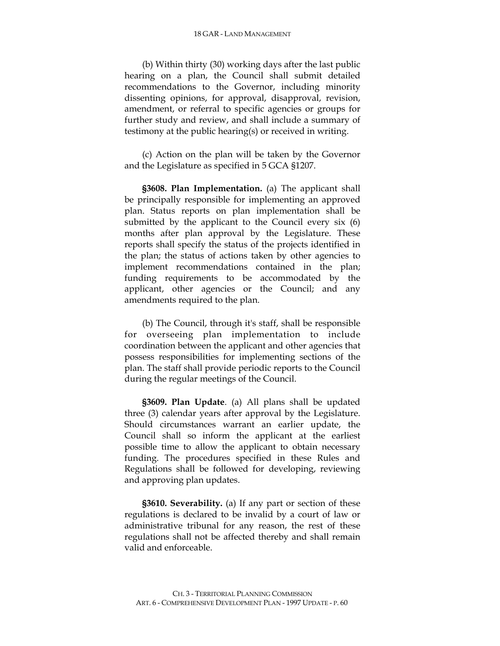#### 18 GAR - LAND MANAGEMENT

(b) Within thirty (30) working days after the last public hearing on a plan, the Council shall submit detailed recommendations to the Governor, including minority dissenting opinions, for approval, disapproval, revision, amendment, or referral to specific agencies or groups for further study and review, and shall include a summary of testimony at the public hearing(s) or received in writing.

(c) Action on the plan will be taken by the Governor and the Legislature as specified in 5 GCA §1207.

**§3608. Plan Implementation.** (a) The applicant shall be principally responsible for implementing an approved plan. Status reports on plan implementation shall be submitted by the applicant to the Council every six (6) months after plan approval by the Legislature. These reports shall specify the status of the projects identified in the plan; the status of actions taken by other agencies to implement recommendations contained in the plan; funding requirements to be accommodated by the applicant, other agencies or the Council; and any amendments required to the plan.

(b) The Council, through it's staff, shall be responsible for overseeing plan implementation to include coordination between the applicant and other agencies that possess responsibilities for implementing sections of the plan. The staff shall provide periodic reports to the Council during the regular meetings of the Council.

**§3609. Plan Update**. (a) All plans shall be updated three (3) calendar years after approval by the Legislature. Should circumstances warrant an earlier update, the Council shall so inform the applicant at the earliest possible time to allow the applicant to obtain necessary funding. The procedures specified in these Rules and Regulations shall be followed for developing, reviewing and approving plan updates.

**§3610. Severability.** (a) If any part or section of these regulations is declared to be invalid by a court of law or administrative tribunal for any reason, the rest of these regulations shall not be affected thereby and shall remain valid and enforceable.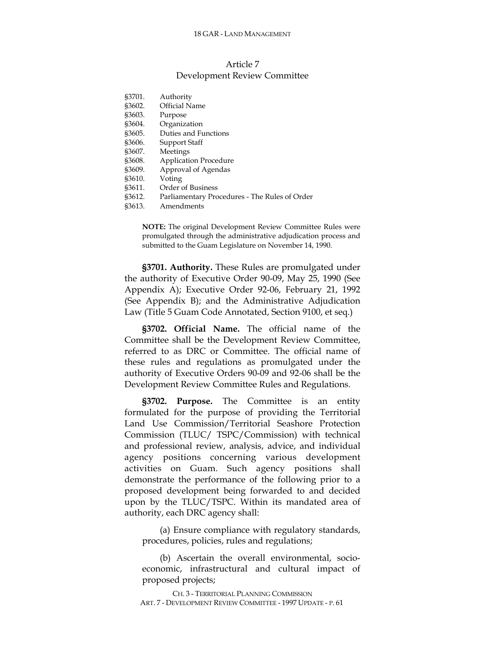# Article 7 Development Review Committee

| \$3701. | Authority                                     |
|---------|-----------------------------------------------|
| §3602.  | Official Name                                 |
| \$3603. | Purpose                                       |
| \$3604. | Organization                                  |
| \$3605. | Duties and Functions                          |
| \$3606. | Support Staff                                 |
| §3607.  | Meetings                                      |
| \$3608. | <b>Application Procedure</b>                  |
| §3609.  | Approval of Agendas                           |
| \$3610. | Voting                                        |
| §3611.  | Order of Business                             |
| \$3612. | Parliamentary Procedures - The Rules of Order |
| \$3613. | Amendments                                    |

**NOTE:** The original Development Review Committee Rules were promulgated through the administrative adjudication process and submitted to the Guam Legislature on November 14, 1990.

**§3701. Authority.** These Rules are promulgated under the authority of Executive Order 90-09, May 25, 1990 (See Appendix A); Executive Order 92-06, February 21, 1992 (See Appendix B); and the Administrative Adjudication Law (Title 5 Guam Code Annotated, Section 9100, et seq.)

**§3702. Official Name.** The official name of the Committee shall be the Development Review Committee, referred to as DRC or Committee. The official name of these rules and regulations as promulgated under the authority of Executive Orders 90-09 and 92-06 shall be the Development Review Committee Rules and Regulations.

**§3702. Purpose.** The Committee is an entity formulated for the purpose of providing the Territorial Land Use Commission/Territorial Seashore Protection Commission (TLUC/ TSPC/Commission) with technical and professional review, analysis, advice, and individual agency positions concerning various development activities on Guam. Such agency positions shall demonstrate the performance of the following prior to a proposed development being forwarded to and decided upon by the TLUC/TSPC. Within its mandated area of authority, each DRC agency shall:

(a) Ensure compliance with regulatory standards, procedures, policies, rules and regulations;

(b) Ascertain the overall environmental, socioeconomic, infrastructural and cultural impact of proposed projects;

CH. 3 - TERRITORIAL PLANNING COMMISSION ART. 7 - DEVELOPMENT REVIEW COMMITTEE - 1997 UPDATE - P. 61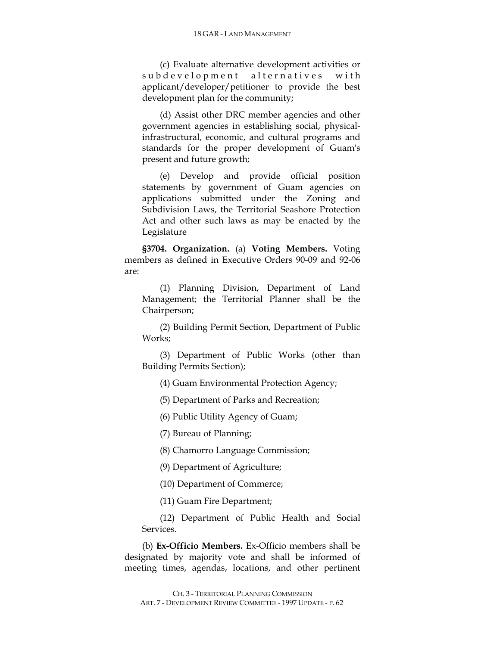(c) Evaluate alternative development activities or subdevelopment alternatives with applicant/developer/petitioner to provide the best development plan for the community;

(d) Assist other DRC member agencies and other government agencies in establishing social, physicalinfrastructural, economic, and cultural programs and standards for the proper development of Guam's present and future growth;

(e) Develop and provide official position statements by government of Guam agencies on applications submitted under the Zoning and Subdivision Laws, the Territorial Seashore Protection Act and other such laws as may be enacted by the Legislature

**§3704. Organization.** (a) **Voting Members.** Voting members as defined in Executive Orders 90-09 and 92-06 are:

(1) Planning Division, Department of Land Management; the Territorial Planner shall be the Chairperson;

(2) Building Permit Section, Department of Public Works;

(3) Department of Public Works (other than Building Permits Section);

(4) Guam Environmental Protection Agency;

(5) Department of Parks and Recreation;

(6) Public Utility Agency of Guam;

(7) Bureau of Planning;

(8) Chamorro Language Commission;

(9) Department of Agriculture;

(10) Department of Commerce;

(11) Guam Fire Department;

(12) Department of Public Health and Social Services.

(b) **Ex-Officio Members.** Ex-Officio members shall be designated by majority vote and shall be informed of meeting times, agendas, locations, and other pertinent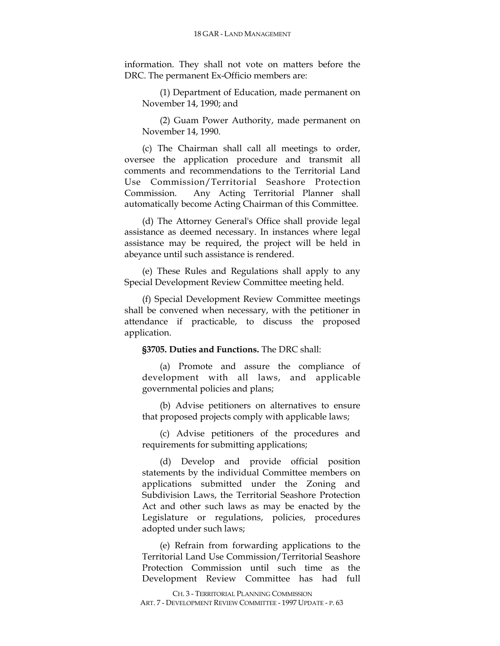information. They shall not vote on matters before the DRC. The permanent Ex-Officio members are:

(1) Department of Education, made permanent on November 14, 1990; and

(2) Guam Power Authority, made permanent on November 14, 1990.

(c) The Chairman shall call all meetings to order, oversee the application procedure and transmit all comments and recommendations to the Territorial Land Use Commission/Territorial Seashore Protection Commission. Any Acting Territorial Planner shall automatically become Acting Chairman of this Committee.

(d) The Attorney General's Office shall provide legal assistance as deemed necessary. In instances where legal assistance may be required, the project will be held in abeyance until such assistance is rendered.

(e) These Rules and Regulations shall apply to any Special Development Review Committee meeting held.

(f) Special Development Review Committee meetings shall be convened when necessary, with the petitioner in attendance if practicable, to discuss the proposed application.

### **§3705. Duties and Functions.** The DRC shall:

(a) Promote and assure the compliance of development with all laws, and applicable governmental policies and plans;

(b) Advise petitioners on alternatives to ensure that proposed projects comply with applicable laws;

(c) Advise petitioners of the procedures and requirements for submitting applications;

(d) Develop and provide official position statements by the individual Committee members on applications submitted under the Zoning and Subdivision Laws, the Territorial Seashore Protection Act and other such laws as may be enacted by the Legislature or regulations, policies, procedures adopted under such laws;

(e) Refrain from forwarding applications to the Territorial Land Use Commission/Territorial Seashore Protection Commission until such time as the Development Review Committee has had full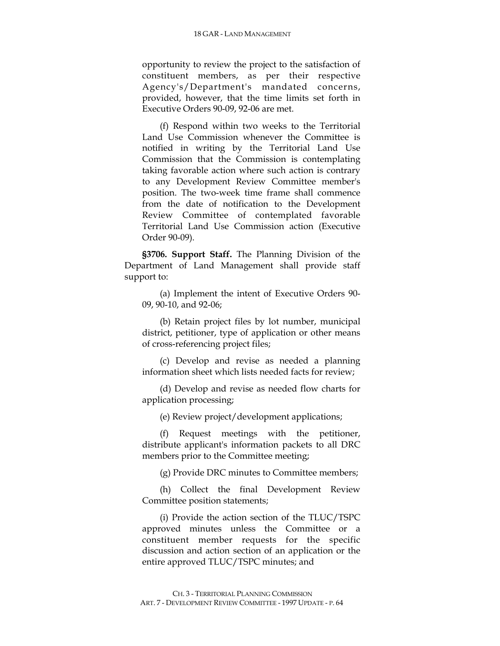opportunity to review the project to the satisfaction of constituent members, as per their respective Agency's/Department's mandated concerns, provided, however, that the time limits set forth in Executive Orders 90-09, 92-06 are met.

(f) Respond within two weeks to the Territorial Land Use Commission whenever the Committee is notified in writing by the Territorial Land Use Commission that the Commission is contemplating taking favorable action where such action is contrary to any Development Review Committee member's position. The two-week time frame shall commence from the date of notification to the Development Review Committee of contemplated favorable Territorial Land Use Commission action (Executive Order 90-09).

**§3706. Support Staff.** The Planning Division of the Department of Land Management shall provide staff support to:

(a) Implement the intent of Executive Orders 90- 09, 90-10, and 92-06;

(b) Retain project files by lot number, municipal district, petitioner, type of application or other means of cross-referencing project files;

(c) Develop and revise as needed a planning information sheet which lists needed facts for review;

(d) Develop and revise as needed flow charts for application processing;

(e) Review project/development applications;

(f) Request meetings with the petitioner, distribute applicant's information packets to all DRC members prior to the Committee meeting;

(g) Provide DRC minutes to Committee members;

(h) Collect the final Development Review Committee position statements;

(i) Provide the action section of the TLUC/TSPC approved minutes unless the Committee or a constituent member requests for the specific discussion and action section of an application or the entire approved TLUC/TSPC minutes; and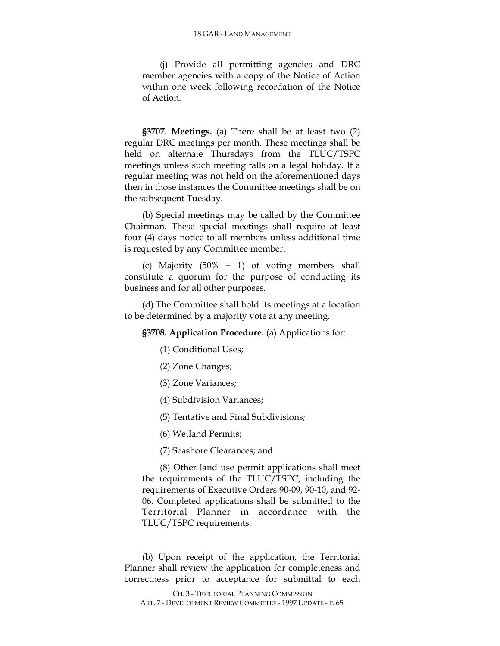(j) Provide all permitting agencies and DRC member agencies with a copy of the Notice of Action within one week following recordation of the Notice of Action.

**§3707. Meetings.** (a) There shall be at least two (2) regular DRC meetings per month. These meetings shall be held on alternate Thursdays from the TLUC/TSPC meetings unless such meeting falls on a legal holiday. If a regular meeting was not held on the aforementioned days then in those instances the Committee meetings shall be on the subsequent Tuesday.

(b) Special meetings may be called by the Committee Chairman. These special meetings shall require at least four (4) days notice to all members unless additional time is requested by any Committee member.

(c) Majority (50% + 1) of voting members shall constitute a quorum for the purpose of conducting its business and for all other purposes.

(d) The Committee shall hold its meetings at a location to be determined by a majority vote at any meeting.

**§3708. Application Procedure.** (a) Applications for:

(1) Conditional Uses;

- (2) Zone Changes;
- (3) Zone Variances;
- (4) Subdivision Variances;

(5) Tentative and Final Subdivisions;

(6) Wetland Permits;

(7) Seashore Clearances; and

(8) Other land use permit applications shall meet the requirements of the TLUC/TSPC, including the requirements of Executive Orders 90-09, 90-10, and 92- 06. Completed applications shall be submitted to the Territorial Planner in accordance with the TLUC/TSPC requirements.

(b) Upon receipt of the application, the Territorial Planner shall review the application for completeness and correctness prior to acceptance for submittal to each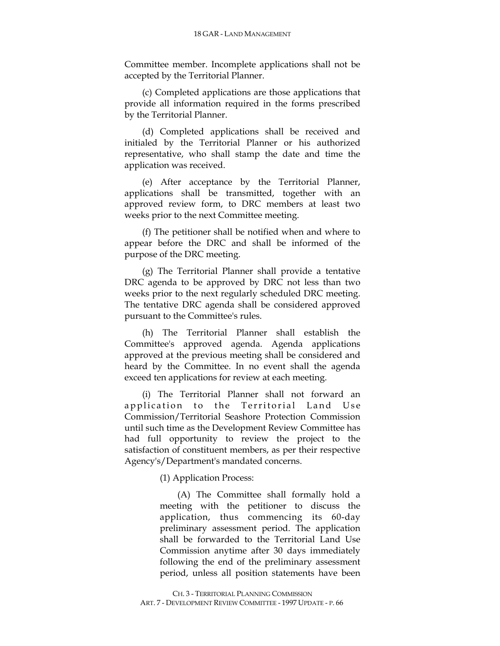Committee member. Incomplete applications shall not be accepted by the Territorial Planner.

(c) Completed applications are those applications that provide all information required in the forms prescribed by the Territorial Planner.

(d) Completed applications shall be received and initialed by the Territorial Planner or his authorized representative, who shall stamp the date and time the application was received.

(e) After acceptance by the Territorial Planner, applications shall be transmitted, together with an approved review form, to DRC members at least two weeks prior to the next Committee meeting.

(f) The petitioner shall be notified when and where to appear before the DRC and shall be informed of the purpose of the DRC meeting.

(g) The Territorial Planner shall provide a tentative DRC agenda to be approved by DRC not less than two weeks prior to the next regularly scheduled DRC meeting. The tentative DRC agenda shall be considered approved pursuant to the Committee's rules.

(h) The Territorial Planner shall establish the Committee's approved agenda. Agenda applications approved at the previous meeting shall be considered and heard by the Committee. In no event shall the agenda exceed ten applications for review at each meeting.

(i) The Territorial Planner shall not forward an application to the Territorial Land Use Commission/Territorial Seashore Protection Commission until such time as the Development Review Committee has had full opportunity to review the project to the satisfaction of constituent members, as per their respective Agency's/Department's mandated concerns.

(1) Application Process:

(A) The Committee shall formally hold a meeting with the petitioner to discuss the application, thus commencing its 60-day preliminary assessment period. The application shall be forwarded to the Territorial Land Use Commission anytime after 30 days immediately following the end of the preliminary assessment period, unless all position statements have been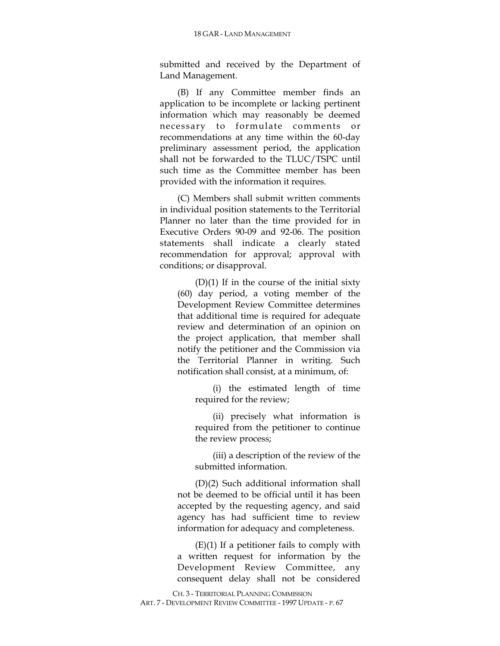submitted and received by the Department of Land Management.

(B) If any Committee member finds an application to be incomplete or lacking pertinent information which may reasonably be deemed necessary to formulate comments or recommendations at any time within the 60-day preliminary assessment period, the application shall not be forwarded to the TLUC/TSPC until such time as the Committee member has been provided with the information it requires.

(C) Members shall submit written comments in individual position statements to the Territorial Planner no later than the time provided for in Executive Orders 90-09 and 92-06. The position statements shall indicate a clearly stated recommendation for approval; approval with conditions; or disapproval.

(D)(1) If in the course of the initial sixty (60) day period, a voting member of the Development Review Committee determines that additional time is required for adequate review and determination of an opinion on the project application, that member shall notify the petitioner and the Commission via the Territorial Planner in writing. Such notification shall consist, at a minimum, of:

(i) the estimated length of time required for the review;

(ii) precisely what information is required from the petitioner to continue the review process;

(iii) a description of the review of the submitted information.

(D)(2) Such additional information shall not be deemed to be official until it has been accepted by the requesting agency, and said agency has had sufficient time to review information for adequacy and completeness.

 $(E)(1)$  If a petitioner fails to comply with a written request for information by the Development Review Committee, any consequent delay shall not be considered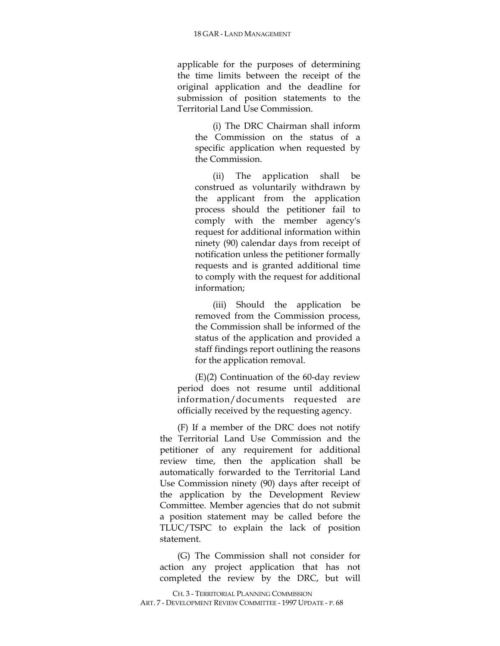applicable for the purposes of determining the time limits between the receipt of the original application and the deadline for submission of position statements to the Territorial Land Use Commission.

(i) The DRC Chairman shall inform the Commission on the status of a specific application when requested by the Commission.

(ii) The application shall be construed as voluntarily withdrawn by the applicant from the application process should the petitioner fail to comply with the member agency's request for additional information within ninety (90) calendar days from receipt of notification unless the petitioner formally requests and is granted additional time to comply with the request for additional information;

(iii) Should the application be removed from the Commission process, the Commission shall be informed of the status of the application and provided a staff findings report outlining the reasons for the application removal.

(E)(2) Continuation of the 60-day review period does not resume until additional information/documents requested are officially received by the requesting agency.

(F) If a member of the DRC does not notify the Territorial Land Use Commission and the petitioner of any requirement for additional review time, then the application shall be automatically forwarded to the Territorial Land Use Commission ninety (90) days after receipt of the application by the Development Review Committee. Member agencies that do not submit a position statement may be called before the TLUC/TSPC to explain the lack of position statement.

(G) The Commission shall not consider for action any project application that has not completed the review by the DRC, but will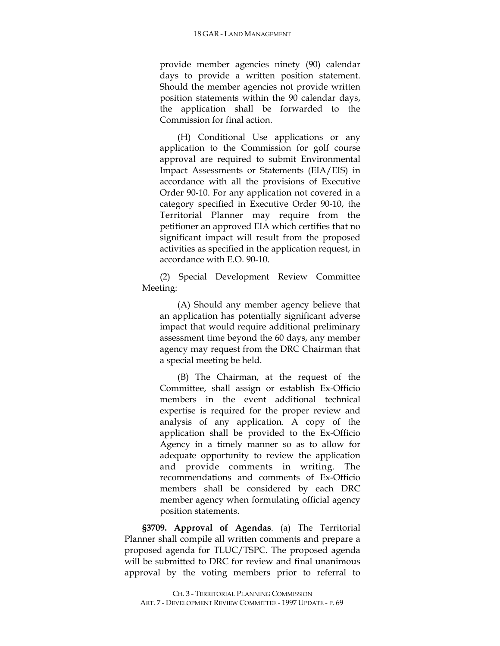provide member agencies ninety (90) calendar days to provide a written position statement. Should the member agencies not provide written position statements within the 90 calendar days, the application shall be forwarded to the Commission for final action.

(H) Conditional Use applications or any application to the Commission for golf course approval are required to submit Environmental Impact Assessments or Statements (EIA/EIS) in accordance with all the provisions of Executive Order 90-10. For any application not covered in a category specified in Executive Order 90-10, the Territorial Planner may require from the petitioner an approved EIA which certifies that no significant impact will result from the proposed activities as specified in the application request, in accordance with E.O. 90-10.

(2) Special Development Review Committee Meeting:

(A) Should any member agency believe that an application has potentially significant adverse impact that would require additional preliminary assessment time beyond the 60 days, any member agency may request from the DRC Chairman that a special meeting be held.

(B) The Chairman, at the request of the Committee, shall assign or establish Ex-Officio members in the event additional technical expertise is required for the proper review and analysis of any application. A copy of the application shall be provided to the Ex-Officio Agency in a timely manner so as to allow for adequate opportunity to review the application and provide comments in writing. The recommendations and comments of Ex-Officio members shall be considered by each DRC member agency when formulating official agency position statements.

**§3709. Approval of Agendas**. (a) The Territorial Planner shall compile all written comments and prepare a proposed agenda for TLUC/TSPC. The proposed agenda will be submitted to DRC for review and final unanimous approval by the voting members prior to referral to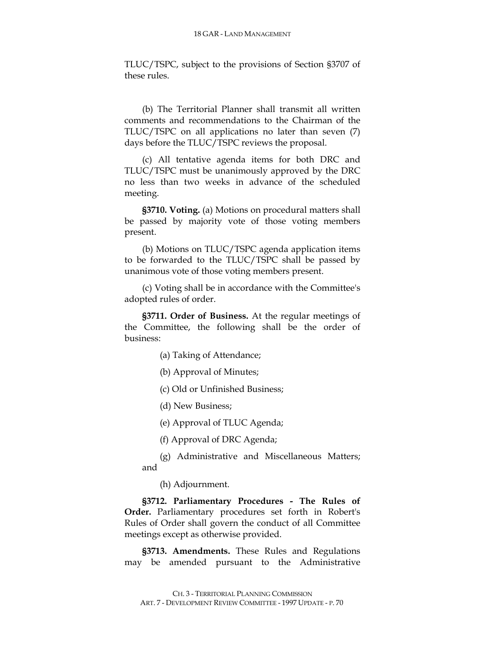TLUC/TSPC, subject to the provisions of Section §3707 of these rules.

(b) The Territorial Planner shall transmit all written comments and recommendations to the Chairman of the TLUC/TSPC on all applications no later than seven (7) days before the TLUC/TSPC reviews the proposal.

(c) All tentative agenda items for both DRC and TLUC/TSPC must be unanimously approved by the DRC no less than two weeks in advance of the scheduled meeting.

**§3710. Voting.** (a) Motions on procedural matters shall be passed by majority vote of those voting members present.

(b) Motions on TLUC/TSPC agenda application items to be forwarded to the TLUC/TSPC shall be passed by unanimous vote of those voting members present.

(c) Voting shall be in accordance with the Committee's adopted rules of order.

**§3711. Order of Business.** At the regular meetings of the Committee, the following shall be the order of business:

(a) Taking of Attendance;

(b) Approval of Minutes;

(c) Old or Unfinished Business;

(d) New Business;

(e) Approval of TLUC Agenda;

(f) Approval of DRC Agenda;

(g) Administrative and Miscellaneous Matters; and

(h) Adjournment.

**§3712. Parliamentary Procedures - The Rules of Order.** Parliamentary procedures set forth in Robert's Rules of Order shall govern the conduct of all Committee meetings except as otherwise provided.

**§3713. Amendments.** These Rules and Regulations may be amended pursuant to the Administrative